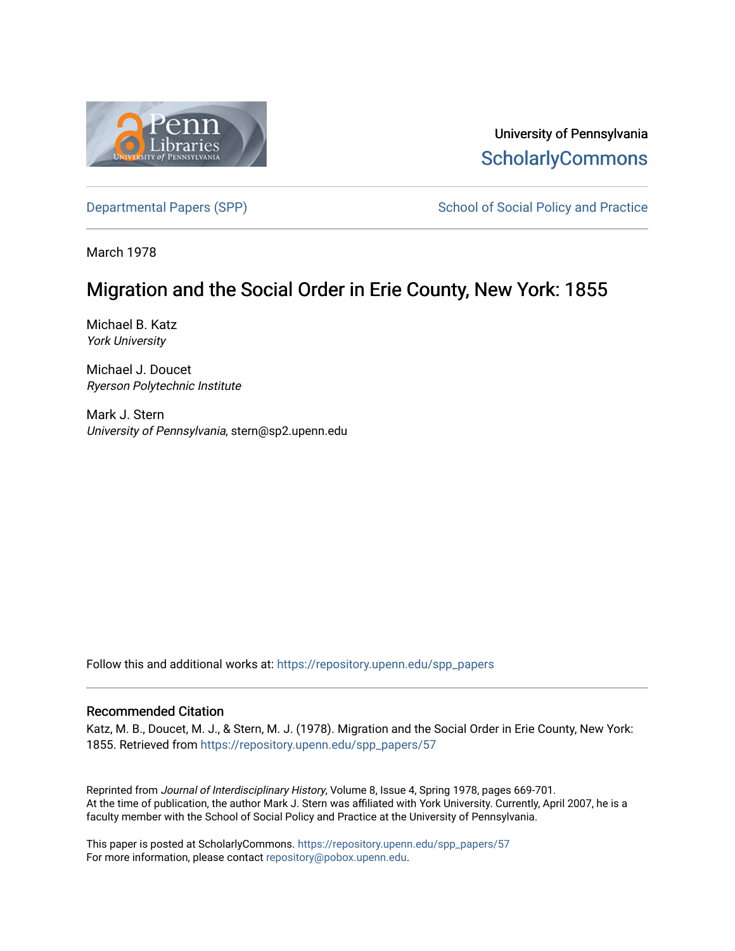

University of Pennsylvania **ScholarlyCommons** 

[Departmental Papers \(SPP\)](https://repository.upenn.edu/spp_papers) School of Social Policy and Practice

March 1978

# Migration and the Social Order in Erie County, New York: 1855

Michael B. Katz York University

Michael J. Doucet Ryerson Polytechnic Institute

Mark J. Stern University of Pennsylvania, stern@sp2.upenn.edu

Follow this and additional works at: [https://repository.upenn.edu/spp\\_papers](https://repository.upenn.edu/spp_papers?utm_source=repository.upenn.edu%2Fspp_papers%2F57&utm_medium=PDF&utm_campaign=PDFCoverPages) 

## Recommended Citation

Katz, M. B., Doucet, M. J., & Stern, M. J. (1978). Migration and the Social Order in Erie County, New York: 1855. Retrieved from [https://repository.upenn.edu/spp\\_papers/57](https://repository.upenn.edu/spp_papers/57?utm_source=repository.upenn.edu%2Fspp_papers%2F57&utm_medium=PDF&utm_campaign=PDFCoverPages) 

Reprinted from Journal of Interdisciplinary History, Volume 8, Issue 4, Spring 1978, pages 669-701. At the time of publication, the author Mark J. Stern was affiliated with York University. Currently, April 2007, he is a faculty member with the School of Social Policy and Practice at the University of Pennsylvania.

This paper is posted at ScholarlyCommons. [https://repository.upenn.edu/spp\\_papers/57](https://repository.upenn.edu/spp_papers/57)  For more information, please contact [repository@pobox.upenn.edu.](mailto:repository@pobox.upenn.edu)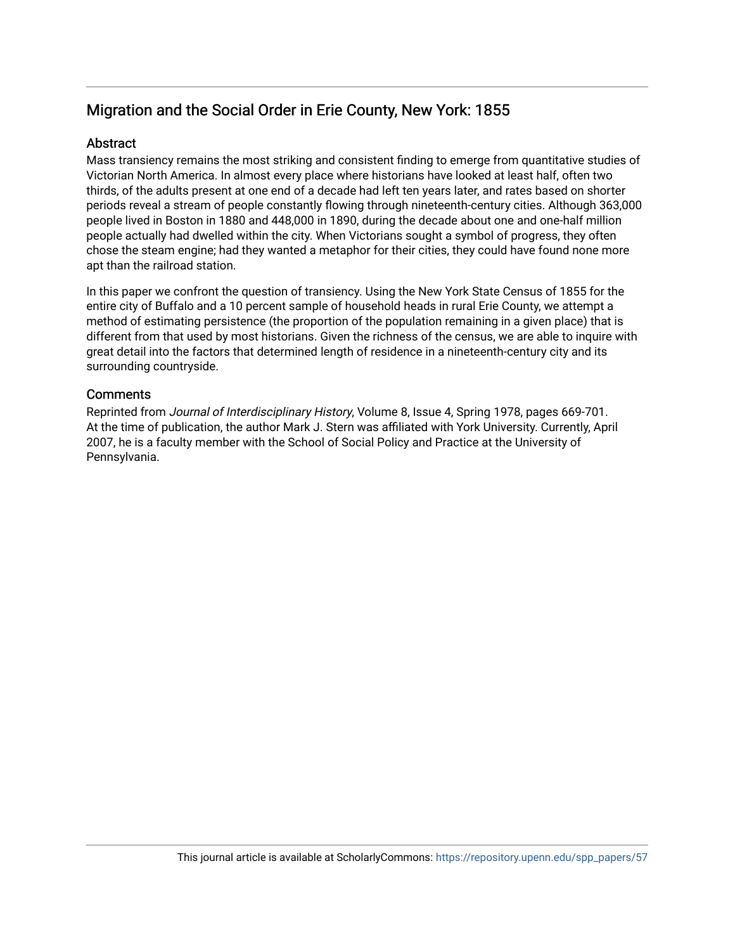# Migration and the Social Order in Erie County, New York: 1855

# **Abstract**

Mass transiency remains the most striking and consistent finding to emerge from quantitative studies of Victorian North America. In almost every place where historians have looked at least half, often two thirds, of the adults present at one end of a decade had left ten years later, and rates based on shorter periods reveal a stream of people constantly flowing through nineteenth-century cities. Although 363,000 people lived in Boston in 1880 and 448,000 in 1890, during the decade about one and one-half million people actually had dwelled within the city. When Victorians sought a symbol of progress, they often chose the steam engine; had they wanted a metaphor for their cities, they could have found none more apt than the railroad station.

In this paper we confront the question of transiency. Using the New York State Census of 1855 for the entire city of Buffalo and a 10 percent sample of household heads in rural Erie County, we attempt a method of estimating persistence (the proportion of the population remaining in a given place) that is different from that used by most historians. Given the richness of the census, we are able to inquire with great detail into the factors that determined length of residence in a nineteenth-century city and its surrounding countryside.

# **Comments**

Reprinted from Journal of Interdisciplinary History, Volume 8, Issue 4, Spring 1978, pages 669-701. At the time of publication, the author Mark J. Stern was affiliated with York University. Currently, April 2007, he is a faculty member with the School of Social Policy and Practice at the University of Pennsylvania.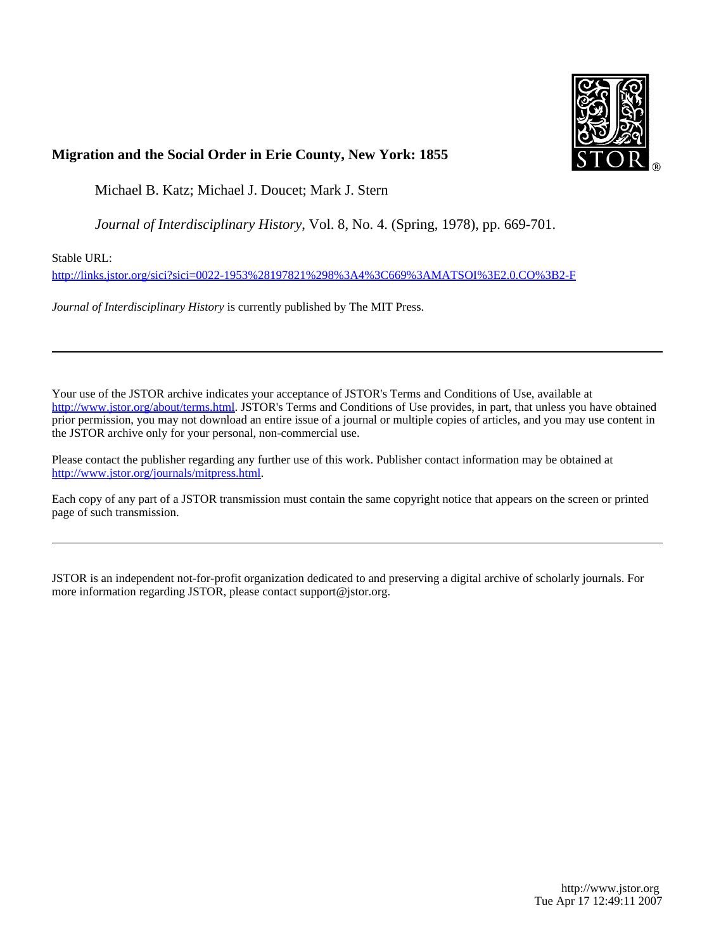

# **Migration and the Social Order in Erie County, New York: 1855**

Michael B. Katz; Michael J. Doucet; Mark J. Stern

*Journal of Interdisciplinary History*, Vol. 8, No. 4. (Spring, 1978), pp. 669-701.

Stable URL:

<http://links.jstor.org/sici?sici=0022-1953%28197821%298%3A4%3C669%3AMATSOI%3E2.0.CO%3B2-F>

*Journal of Interdisciplinary History* is currently published by The MIT Press.

Your use of the JSTOR archive indicates your acceptance of JSTOR's Terms and Conditions of Use, available at [http://www.jstor.org/about/terms.html.](http://www.jstor.org/about/terms.html) JSTOR's Terms and Conditions of Use provides, in part, that unless you have obtained prior permission, you may not download an entire issue of a journal or multiple copies of articles, and you may use content in the JSTOR archive only for your personal, non-commercial use.

Please contact the publisher regarding any further use of this work. Publisher contact information may be obtained at <http://www.jstor.org/journals/mitpress.html>.

Each copy of any part of a JSTOR transmission must contain the same copyright notice that appears on the screen or printed page of such transmission.

JSTOR is an independent not-for-profit organization dedicated to and preserving a digital archive of scholarly journals. For more information regarding JSTOR, please contact support@jstor.org.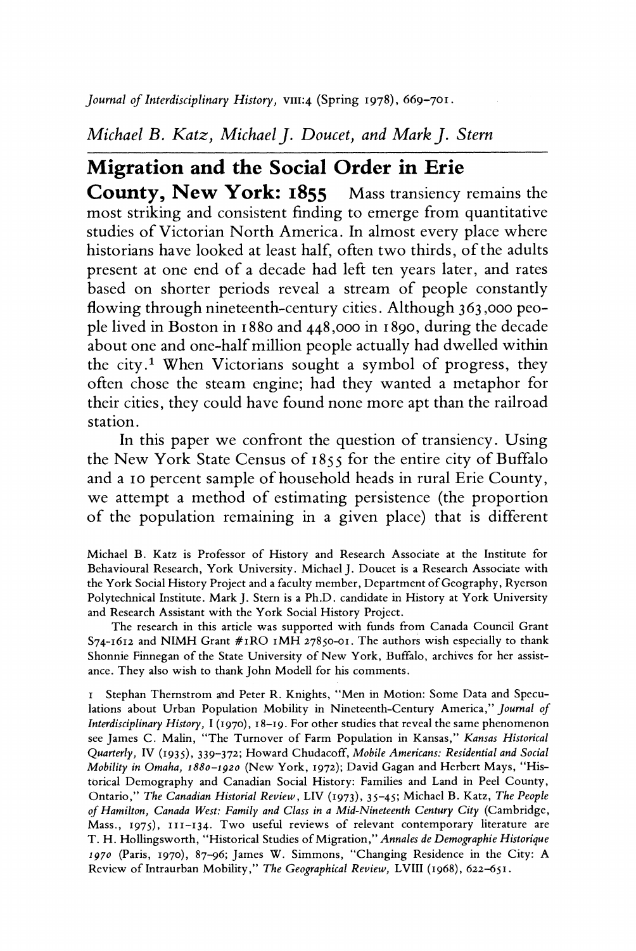## *Michael B. Katx, Michael]. Doucet, and Mark]. Stern*

# **Migration and the Social Order in Erie**

**County, New York: 1855** Mass transiency remains the most striking and consistent finding to emerge from quantitative studies of Victorian North America. In almost every place where historians have looked at least half, often two thirds, of the adults present at one end of a decade had left ten years later, and rates based on shorter periods reveal a stream of people constantly flowing through nineteenth-century cities. Although 363,000 people lived in Boston in I 880 and 448,000 in I 890, during the decade about one and one-half million people actually had dwelled within the city.<sup>1</sup> When Victorians sought a symbol of progress, they often chose the steam engine; had they wanted a metaphor for their cities, they could have found none more apt than the railroad station.

In this paper we confront the question of transiency. Using the New York State Census of 1855 for the entire city of Buffalo and a 10 percent sample of household heads in rural Erie County, we attempt a method of estimating persistence (the proportion of the population remaining in a given place) that is different

Michael B. Katz is Professor of History and Research Associate at the Institute for Behavioural Research, York University. Michael J. Doucet is a Research Associate with the York Social History Project and a faculty member, Department of Geography, Ryerson Polytechnical Institute. Mark J. Stern is a Ph.D. candidate in History at York University and Research Assistant with the York Social History Project.

The research in this article was supported with funds from Canada Council Grant S74-1612 and NIMH Grant #IRO IMH 27850-01. The authors wish especially to thank Shonnie Finnegan of the State University of New York, Buffalo, archives for her assistance. They also wish to thank John Model1 for his comments.

I Stephan Thernstrom and Peter R. Knights, "Men in Motion: Some Data and Speculations about Urban Population Mobility in Nineteenth-Century America," *Journal of Interdisciplinary History,* I (1970), 18-19. For other studies that reveal the same phenomenon see James C. Malin, "The Turnover of Farm Population in Kansas," *Kansas Historical Quarterly,* IV (1935)~ 339-372; Howard Chudacoff, *Mobile Americans: Residential and Social Mobility in Omaha, 1880-1920* (New York, 1972); David Gagan and Herbert Mays, "Historical Demography and Canadian Social History: Families and Land in Peel County, Ontario," *The Canadian Historial Review,* LIV (1973), 35-45; Michael B. Katz, *The People ofHamilton, Canada West: Family and Class in a Mid-Nineteenth Century City* (Cambridge, Mass., 1975), III-134. Two useful reviews of relevant contemporary literature are T. H. Hollingsworth, "Historical Studies of Migration," *Annales de Demographie Historique 1970* (Paris, 1970), 87-96; James W. Simmons, "Changing Residence in the City: A Review of Intraurban Mobility," *The Geographical Review,* LVIII (1968). 622-651.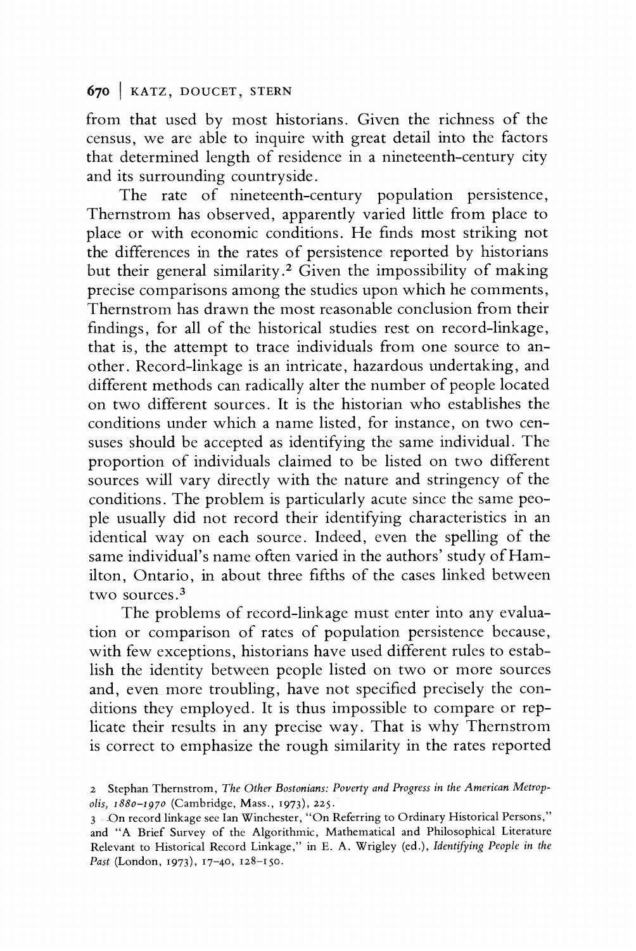from that used by most historians. Given the richness of the census, we are able to inquire with great detail into the factors that determined length of residence in a nineteenth-century city and its surrounding countryside.

The rate of nineteenth-century population persistence, Thernstrom has observed, apparently varied little from place to place or with economic conditions. He finds most striking not the differences in the rates of persistence reported by historians but their general similarity.<sup>2</sup> Given the impossibility of making precise comparisons among the studies upon which he comments, Thernstrom has drawn the most reasonable conclusion from their findings, for all of the historical studies rest on record-linkage, that is, the attempt to trace individuals from one source to another. Record-linkage is an intricate, hazardous undertaking, and different methods can radically alter the number of people located on two different sources. It is the historian who establishes the conditions under which a name listed, for instance, on two censuses should be accepted as identifying the same individual. The proportion of individuals claimed to be listed on two different sources will vary directly with the nature and stringency of the conditions. The problem is particularly acute since the same people usually did not record their identifying characteristics in an identical way on each source. Indeed, even the spelling of the same individual's name often varied in the authors' study of Hamilton, Ontario, in about three fifths of the cases linked between two sources. $3$ 

The problems of record-linkage must enter into any cvaluation or comparison of rates of population persistence because, with few exceptions, historians have used different rules to establish the identity between people listed on two or more sources and, even more troubling, have not specified precisely the conditions they employed. It is thus impossible to compare or replicate their results in any precise way. That is why 'Fhernstrom is correct to emphasize the rough similarity in the rates reported

*<sup>2</sup>* Stephan Thernstrom, *The Other Bostonians: Poverty and Progress in the American Metrop olis,* r *880-1970* (Cambridge, Mass., 1973), 225.

<sup>3 -</sup>On record linkage see Ian Winchester, "On Referring to Ordinary Historical Persons," and "A Brief Survey of the Algorithmic, Mathematical and Philosophical Literature Relevant to Historical Record Linkage," in E. A. Wrigley (ed.), *Identifying People in the* Past (London, 1973), 17-40, 128-150.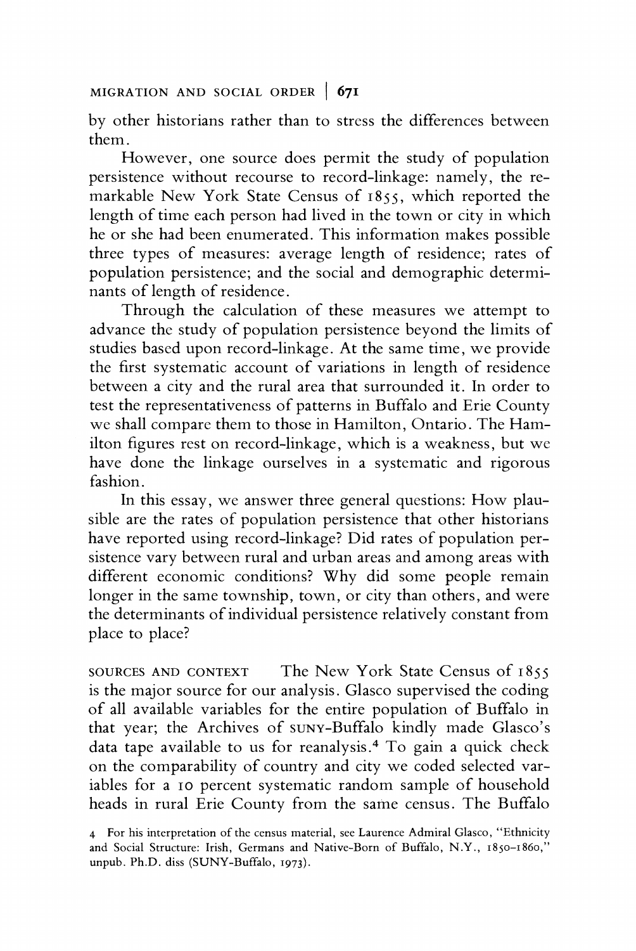MIGRATION AND SOCIAL ORDER ( **671** 

by other historians rather than to stress the differences between them.

However, one source does permit the study of population persistence without recourse to record-linkage: namely, the remarkable New York State Census of 1855, which reported the length of time each person had lived in the town or city in which he or she had been enumerated. This information makes possible three types of measures: average length of residence; rates of population persistence; and the social and demographic determinants of length of residence.

Through the calculation of these measures we attempt to advance the study of population persistence beyond the limits of studies based upon record-linkage. At the same time, we provide the first systematic account of variations in length of residence between a city and the rural area that surrounded it. In order to test the representativeness of patterns in Buffalo and Erie County we shall compare them to those in Hamilton, Ontario. The Hamilton figures rest on record-linkage, which is a weakness, but we have done the linkage ourselves in a systematic and rigorous fashion.

In this essay, we answer three general questions: How plausible are the rates of population persistence that other historians have reported using record-linkage? Did rates of population persistence vary between rural and urban areas and among areas with different economic conditions? Why did some people remain longer in the same township, town, or city than others, and were the determinants of individual persistence relatively constant from place to place?

SOURCES AND CONTEXT The New York State Census of 1855 is the major source for our analysis. Glasco supervised the coding of all available variables for the entire population of Buffalo in that year; the Archives of SUNY-Buffalo kindly made Glasco's data tape available to us for reanalysis.<sup>4</sup> To gain a quick check on the comparability of country and city we coded selected variables for a 10 percent systematic random sample of household heads in rural Erie County from the same census. The Buffalo

<sup>4</sup> For his interpretation of the census material, see Laurence Admiral Glasco, "Ethnicity and Social Structure: Irish, Germans and Native-Born of Buffalo, N.Y., 1850-1860," unpub. Ph.D. diss (SUNY-Buffalo, 1973).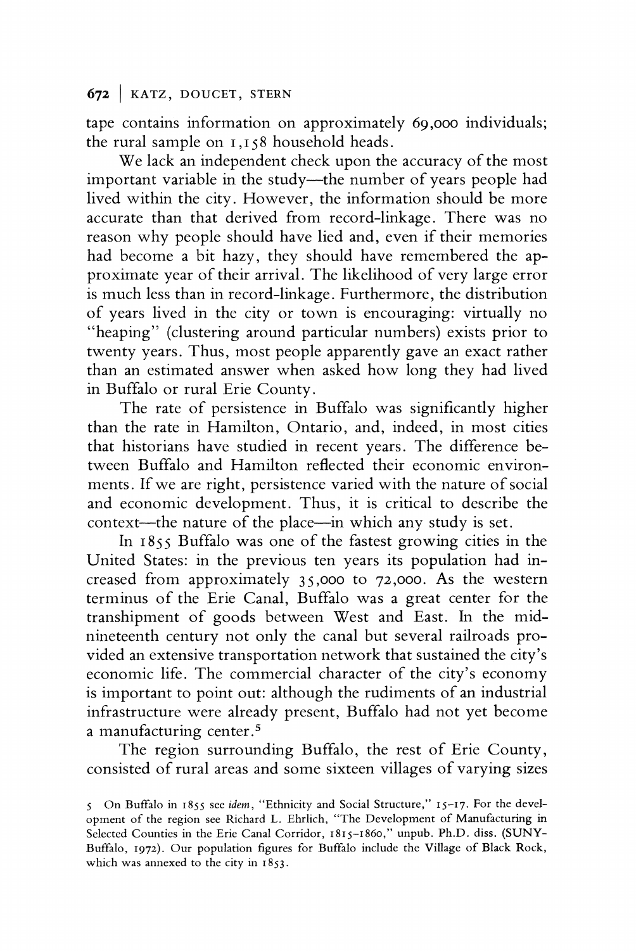672 | KATZ, DOUCET, STERN

tape contains information on approximately  $69,000$  individuals; the rural sample on  $1,158$  household heads.

We lack an independent check upon the accuracy of the most important variable in the study—the number of years people had lived within the city. Howcver, the information should be more accurate than that derived from record-linkage. There was no reason why people should have lied and, even if their memories had become a bit hazy, they should have remembered the approximate year of their arrival. The likelihood of very large error is much less than in record-linkage. Furthermore, the distribution of years lived in the city or town is encouraging: virtually no "heaping" (clustering around particular numbers) exists prior to twenty years. Thus, most people apparently gave an exact rather than an estimated answer when asked how long they had lived in Buffalo or rural Erie County.

The rate of persistence in Buffalo was significantly higher than the rate in Hamilton, Ontario, and, indeed, in most cities that historians have studied in recent years. The difference between Buffalo and Hamilton reflected their economic environments. If we are right, persistence varied with the nature of social and economic development. Thus, it is critical to describe the context-the nature of the place-in which any study is set.

In 1855 Buffalo was one of the fastest growing cities in the United States: in the previous ten years its population had increased from approximately  $35,000$  to 72,000. As the western terminus of the Erie Canal, Buffalo was a great center for the transhipment of goods between West and East. In the midnineteenth century not only the canal but several railroads provided an extensive transportation network that sustained the city's economic life. The commercial character of the city's economy is important to point out: although the rudiments of an industrial infrastructure were already present, Buffalo had not yet become a manufacturing center. $5$ 

The region surrounding Buffalo, the rest of Eric County, consisted of rural areas and some sixteen villages of varying sizes

On Buffalo in **1855** see *idem,* "Ethnicity and Social Structure," **15-17.**For the devel-**5** opment of the region see Richard L. Ehrlich, "The Development of Manufacturing in Selected Counties in the Erie Canal Corridor, **1815-1860,''**unpub. Ph.D. diss. (SUNY-Buffalo, **1972).**Our population figures for Buffalo include the Village of Black Rock, which was annexed to the city in 1853.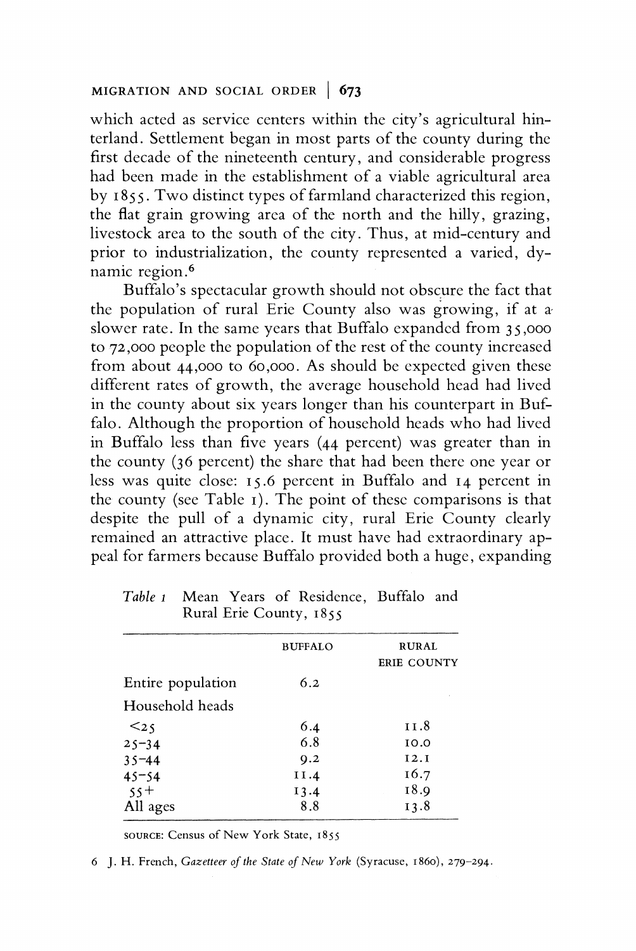which acted as service centers within the city's agricultural hinterland. Settlement began in most parts of the county during the first decade of the nineteenth century, and considerable progress had been made in the establishment of a viable agricultural area by 185s. Two distinct types of farmland characterized this region, the flat grain growing area of the north and the hilly, grazing, livestock area to the south of the city. Thus, at mid-century and prior to industrialization, the county-represented a varied, dynamic region *.6* 

Buffalo's spectacular growth should not obscure the fact that the population of rural Erie County also was growing, if at a slower rate. In the same years that Buffalo expanded from **3** 5,000 to 72,000 people the population of the rest of the county increased from about 44,000 to 60,000. As should be expected given these different rates of growth, the average household head had lived in the county about six years longer than his counterpart in Buffalo. Although the proportion of household heads who had lived in Buffalo less than five years (44 percent) was greater than in the county (36 percent) the share that had been there one year or less was quite close: 15.6 percent in Buffalo and 14 percent in the county (see Table <sub>I</sub>). The point of these comparisons is that despite the pull of a dynamic city, rural Erie County clearly remained an attractive place. It must have had extraordinary appeal for farmers because Buffalo provided both a huge, expanding

| $1.4141$ $1.110$ $1.00411$ , $1.011$ |                |                                    |  |  |  |
|--------------------------------------|----------------|------------------------------------|--|--|--|
|                                      | <b>BUFFALO</b> | <b>RURAL</b><br><b>ERIE COUNTY</b> |  |  |  |
| Entire population                    | 6.2            |                                    |  |  |  |
| Household heads                      |                |                                    |  |  |  |
| $\leq$ 25                            | 6.4            | 11.8                               |  |  |  |
| $25 - 34$                            | 6.8            | 10.0                               |  |  |  |
| $35 - 44$                            | 9.2            | 12.1                               |  |  |  |
| $45 - 54$                            | 11.4           | 16.7                               |  |  |  |
| $55+$                                | 13.4           | 18.9                               |  |  |  |
| All ages                             | 8.8            | 13.8                               |  |  |  |

Table <sup>1</sup> Mean Years of Residence, Buffalo and Rural Erie County, 1855

**SOURCE:** Census of *New York State,* 1855

<sup>6</sup> J. H. *French, Gazetteer of the State of New York (Syrscusc,* 1860), **279-294**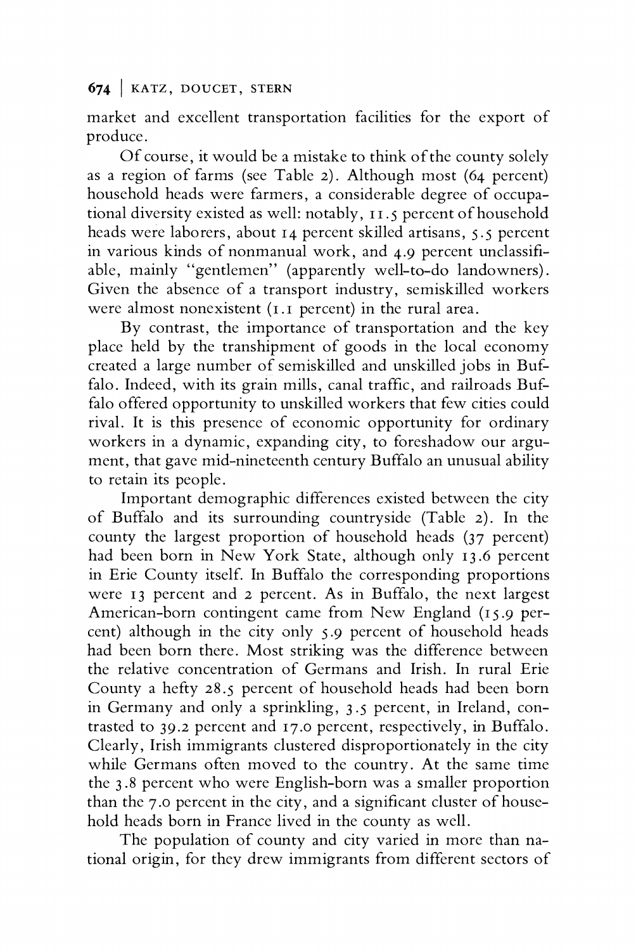## **674** / **KATZ,** I>OUCET, **STERN**

market and excellent transportation facilities for the export of produce.

Of course, it would be a mistake to think of the county solely as a region of farms (see Table 2). Although most (64 percent) household heads were farmers, a considerable degree of occupational diversity existed as well: notably, 11.5 percent of household heads were laborers, about **14** percent skilled artisans, 5.5 percent in various kinds of nonmanual work, and 4.9 percent unclassifiable, mainly "gentlemen" (apparently well-to-do landowners). Given the absence of a transport industry, semiskilled workers were almost nonexistent (I.I percent) in the rural area.

By contrast, the importance of transportation and the key place held by the transhipment of goods in the local economy created a large number of semiskilled and unskilled jobs in Buffalo. Indeed, with its grain mills, canal traffic, and railroads Buffalo offered opportunity to unskilled workers that few cities could rival. It is this presence of economic opportunity for ordinary workers in a dynamic, expanding city, to foreshadow our argument, that gave mid-nineteenth century Buffalo an unusual ability to retain its people.

Important demographic differences existed between the city of Buffalo and its surrounding countryside (Table *2).* In the county the largest proportion of household heads (37 percent) had been born in New York State, although only 13.6 percent in Erie County itself. In Buffalo the corresponding proportions were 13 percent and 2 percent. As in Buffalo, the next largest American-born contingent came from New England (15.9 percent) although in the city only 5.9 percent of household heads had been born there. Most striking was the difference between the relative concentration of Germans and Irish. In rural Erie County a hefty 28.5 percent of household heads had been born in Germany and only a sprinkling, 3.5 percent, in Ireland, contrasted to 39.2 percent and 17.0 percent, respectively, in Buffalo. Clearly, Irish immigrants clustered disproportionately in the city while Germans often moved to the country. At the same time the 3.8 percent who were English-born was a smaller proportion than the 7.0 percent in the city, and a significant cluster of household heads born in France lived in the county as well.

The population of county and city varied in more than national origin, for they drew immigrants from different sectors of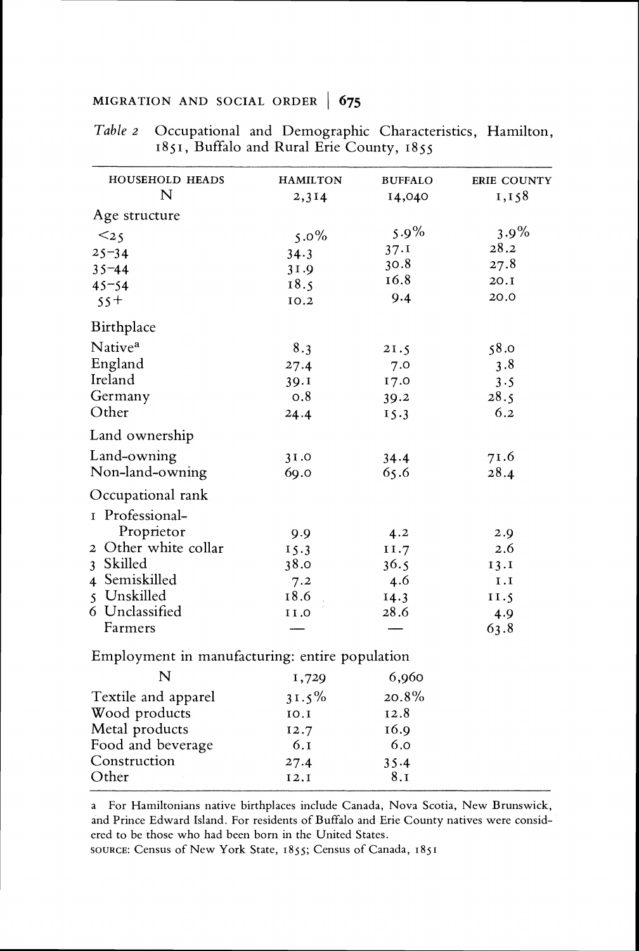# MIGRATION AND SOCIAL ORDER | 675

| HOUSEHOLD HEADS                                | <b>HAMILTON</b> | <b>BUFFALO</b> | <b>ERIE COUNTY</b> |
|------------------------------------------------|-----------------|----------------|--------------------|
| N                                              | 2,314           | 14,040         | 1,158              |
| Age structure                                  |                 |                |                    |
| $<$ 25                                         | $5.0\%$         | 5.9%           | $3.9\%$            |
| $25 - 34$                                      | 34.3            | 37.1           | 28.2               |
| $35 - 44$                                      | 31.9            | 30.8           | 27.8               |
| $45 - 54$                                      | 18.5            | 16.8           | 20.1               |
| $55+$                                          | 10.2            | 9.4            | 20.0               |
| Birthplace                                     |                 |                |                    |
| Native <sup>a</sup>                            | 8.3             | 21.5           | 58.0               |
| England                                        | 27.4            | 7.0            | 3.8                |
| Ireland                                        | 39.1            | 17.0           | 3.5                |
| Germany                                        | 0.8             | 39.2           | 28.5               |
| Other                                          | 24.4            | 15.3           | 6.2                |
| Land ownership                                 |                 |                |                    |
| Land-owning                                    | 31.0            | 34.4           | 71.6               |
| Non-land-owning                                | 69.0            | 65.6           | 28.4               |
| Occupational rank                              |                 |                |                    |
| 1 Professional-                                |                 |                |                    |
| Proprietor                                     | 9.9             | 4.2            | 2.9                |
| 2 Other white collar                           | 15.3            | 11.7           | 2.6                |
| 3 Skilled                                      | 38.0            | 36.5           | 13.1               |
| 4 Semiskilled                                  | 7.2             | 4.6            | I.I                |
| 5 Unskilled                                    | 18.6            | 14.3           | 11.5               |
| 6 Unclassified                                 | 0.11            | 28.6           | 4.9                |
| Farmers                                        |                 |                | 63.8               |
| Employment in manufacturing: entire population |                 |                |                    |
| N                                              | 1,729           | 6,960          |                    |
| Textile and apparel                            | 31.5%           | 20.8%          |                    |
| Wood products                                  | 10.1            | 12.8           |                    |
| Metal products                                 | 12.7            | 16.9           |                    |
| Food and beverage                              | 6.1             | 6.0            |                    |
| Construction                                   | 27.4            | 35.4           |                    |
| Other                                          | 12.I            | 8.1            |                    |

Table *2*  Occupational and Demographic Characteristics, Hamilton, 1851, Buffalo and Rural Erie County, 1855

a For Hamiltonians native birthplaces include Canada, Nova Scotia, New Brunswick, and Prince Edward Island. For residents of Buffalo and Eric County natives were consid ered to be those who had been born in the Unitcd States.

SOURCE: Census of New York State, **1855;** Census of Canada, 1851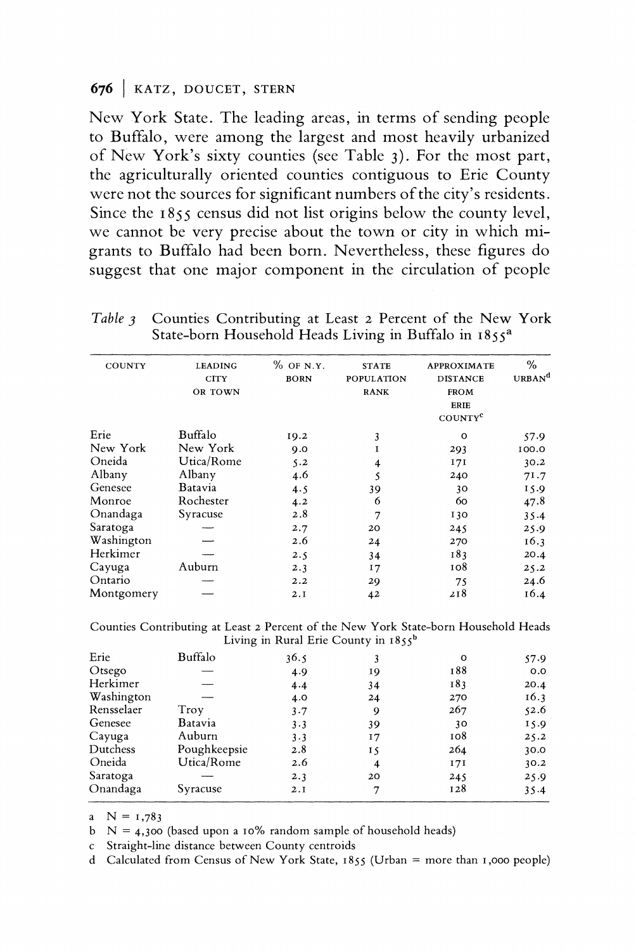### 676 | KATZ, DOUCET, STERN

New York State. The leading areas, in terms of sending people to Buffalo, were among the largest and most heavily urbanized of New York's sixty counties (see Table 3). For the most part, the agriculturally oriented counties contiguous to Erie County were not the sources for significant numbers of the city's residents. Since the 1855 census did not list origins below the county level, we cannot be very precise about the town or city in which migrants to Buffalo had been born. Nevertheless, these figures do suggest that one major component in the circulation of people

| <b>COUNTY</b> | <b>LEADING</b><br><b>CITY</b><br>OR TOWN | $%$ OF N.Y.<br><b>BORN</b> | <b>STATE</b><br><b>POPULATION</b><br><b>RANK</b> | <b>APPROXIMATE</b><br><b>DISTANCE</b><br><b>FROM</b><br><b>ERIE</b><br>COUNTY <sup>c</sup> | %<br>URBAN <sup>d</sup> |
|---------------|------------------------------------------|----------------------------|--------------------------------------------------|--------------------------------------------------------------------------------------------|-------------------------|
| Erie          | Buffalo                                  | 19.2                       | 3                                                | $\circ$                                                                                    | 57.9                    |
| New York      | New York                                 | Q.O                        | I                                                | 293                                                                                        | 100.0                   |
| Oneida        | Utica/Rome                               | 5.2                        | 4                                                | 171                                                                                        | 30.2                    |
| Albany        | Albany                                   | 4.6                        | 5                                                | 240                                                                                        | 71.7                    |
| Genesee       | Batavia                                  | 4.5                        | 39                                               | 30                                                                                         | 15.9                    |
| Monroe        | Rochester                                | 4.2                        | 6                                                | 60                                                                                         | 47.8                    |
| Onandaga      | Syracuse                                 | 2.8                        | 7                                                | 130                                                                                        | 35.4                    |
| Saratoga      |                                          | 2.7                        | 20                                               | 245                                                                                        | 25.9                    |
| Washington    |                                          | 2.6                        | 24                                               | 270                                                                                        | 16.3                    |
| Herkimer      |                                          | 2.5                        | 34                                               | 183                                                                                        | 20.4                    |
| Cayuga        | Auburn                                   | 2.3                        | 17                                               | 108                                                                                        | 25.2                    |
| Ontario       |                                          | 2.2                        | 29                                               | 75                                                                                         | 24.6                    |
| Montgomery    |                                          | 2.1                        | 42                                               | 218                                                                                        | 16.4                    |

*Table 3*  Counties Contributing at Least 2 Percent of the New York State-born Household Heads Living in Buffalo in  $1855^a$ 

Counties Contributing at Least 2 Percent of the New York State-born Household Heads Living in Rural Erie County in  $1855^b$ 

| Erie<br>Buffalo<br>36.5<br>Otsego<br>4.9<br>19 | o<br>188<br>183 | 57.9<br>0.0<br>20.4 |
|------------------------------------------------|-----------------|---------------------|
|                                                |                 |                     |
|                                                |                 |                     |
| Herkimer<br>4.4<br>34                          |                 |                     |
| Washington<br>4.0<br>24                        | 270             | 16.3                |
| Rensselaer<br>Troy<br>3.7<br>9                 | 267             | 52.6                |
| Batavia<br>Genesee<br>3.3<br>39                | 30              | 15.9                |
| Auburn<br>Cayuga<br>17<br>$3 - 3$              | 108             | 25.2                |
| Poughkeepsie<br>Dutchess<br>2.8<br>15          | 264             | 30.0                |
| Utica/Rome<br>Oneida<br>2.6<br>4               | 171             | 30.2                |
| Saratoga<br>2.3<br>20                          | 245             | 25.9                |
| Onandaga<br>Syracuse<br>2.1<br>7               | 128             | 35.4                |

a  $N = 1,783$ 

 $b$  N = 4,300 (based upon a 10% random sample of household heads)

c Straight-line distance between County centroids

d Calculated from Census of New York State, 1855 (Urban = more than 1,000 people)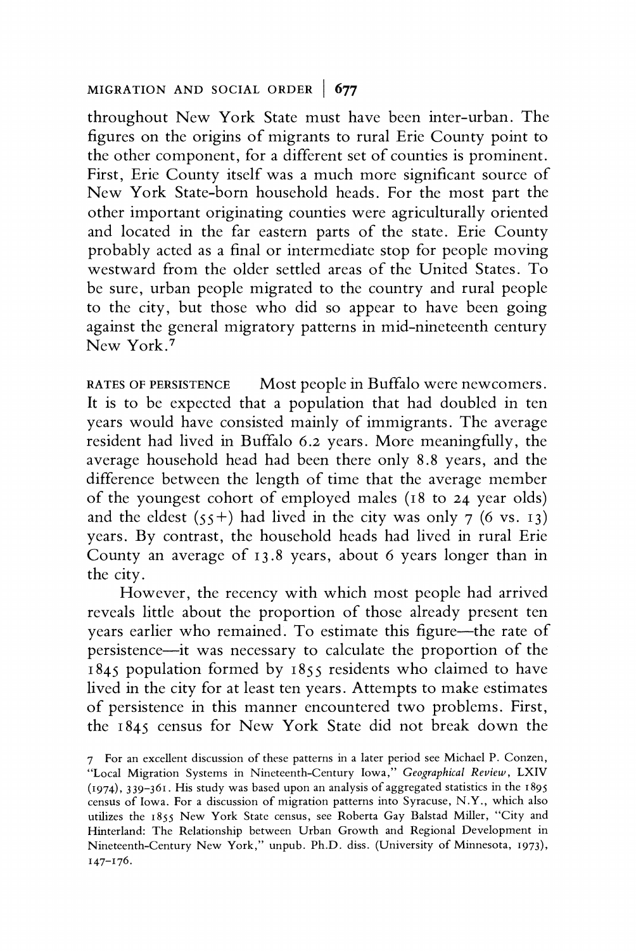### MIGRATION AND SOCIAL ORDER 1 **677**

throughout New York State must have been inter-urban. The figures on the origins of migrants to rural Erie County point to the other component, for a different set of counties is prominent. First, Erie County itself was a much more significant source of New York State-born household heads. For the most part the other important originating counties were agriculturally oriented and located in the far eastern parts of the state. Erie County probably acted as a final or intermediate stop for people moving westward from the older settled areas of the United States. To be sure, urban people migrated to the country and rural people to the city, but those who did so appear to have been going against the general migratory patterns in mid-nineteenth century New York<sup>7</sup>

RATES OF PERSISTENCE Most people in Buffalo were newcomers. It is to be expected that a population that had doubled in ten years would have consisted mainly of immigrants. The average resident had lived in Buffalo 6.2 years. More meaningfully, the average household head had been there only 8.8 years, and the difference between the length of time that the average member of the youngest cohort of employed males (18 to 24 year olds) and the eldest  $(55+)$  had lived in the city was only 7 (6 vs. 13) years. By contrast, the household heads had lived in rural Erie County an average of 13.8 years, about 6 years longer than in the city.

However, the recency with which most people had arrived reveals little about the proportion of those already present ten years earlier who remained. To estimate this figure-the rate of persistence-it was necessary to calculate the proportion of the I 845 population formed by I 855 residents who claimed to have lived in the city for at least ten years. Attempts to make estimates of persistence in this manner encountered two problems. First, the 1845 census for New York State did not break down the

For an excellent discussion of these patterns in a later period see Michael P. Conzen, 7 "Local Migration Systems in Nincteenth-Century Iowa," *Geographical Review,* LXIV (1974), 339-361. His study was based upon an analysis of aggregated statistics in the 1895 census of Iowa. For a discussion of migration patterns into Syracuse, N.Y., which also utilizes the 1855 New York State census, see Roberta Gay Balstad Miller, "City and Hinterland: The Relationship between Urban Growth and Regional Development in Nineteenth-Century New York," unpub. Ph.D. diss. (University of Minnesota, 1973), 147-1 76.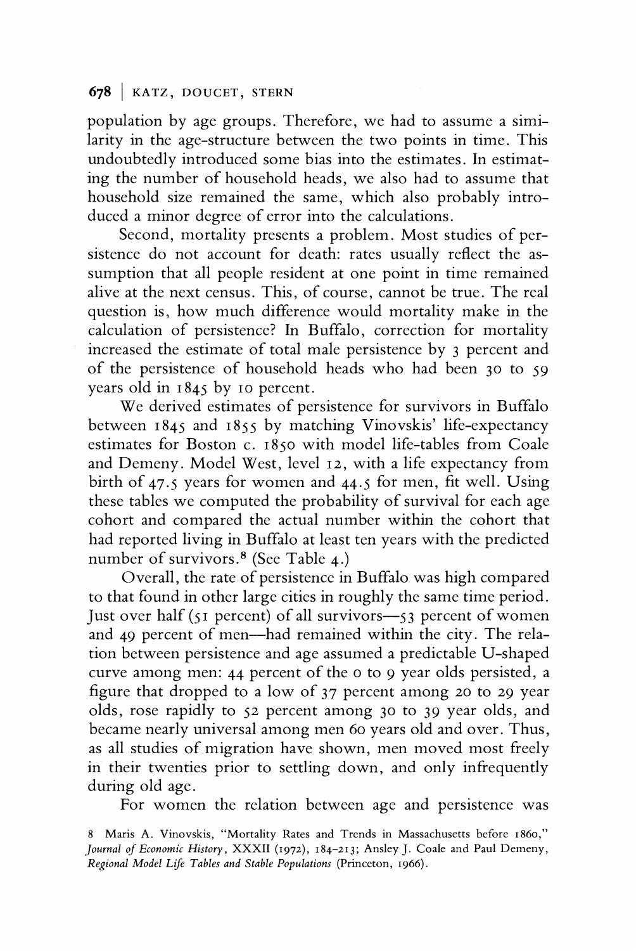population by age groups. Therefore, we had to assume a similarity in the age-structure between the two points in time. This undoubtedly introduced some bias into the estimates. In estimating the number of household heads, we also had to assume that household size remained the same, which also probably introduced a minor degree of error into the calculations.

Second, mortality presents a problem. Most studies of persistence do not account for death: rates usually reflect the assumption that all people resident at one point in time remained alive at the next census. This, of course, cannot be true. The real question is, how much difference would mortality make in the calculation of persistence? In Buffalo, correction for mortality increased the estimate of total male persistence by 3 percent and of the persistence of household heads who had been 30 to 59 years old in 1845 by 10 percent.

We derived estimates of persistence for survivors in Buffalo between 1845 and 1855 by matching Vinovskis' life-expectancy estimates for Boston c. 1850 with model life-tables from Coale and Demeny. Model West, level 12, with a life expectancy from birth of 47.5 years for women and 44.5 for men, fit well. Using these tables we computed the probability of survival for each age cohort and compared the actual number within the cohort that had reported living in Buffalo at least ten years with the predicted number of survivors.<sup>8</sup> (See Table 4.)

Overall, the rate of persistence in Buffalo was high compared to that found in other large cities in roughly the same time period. Just over half ( $51$  percent) of all survivors- $-53$  percent of women and 49 percent of men-had remained within the city. The relation between persistence and age assumed a predictable U-shaped curve among men: 44 percent of the o to 9 year olds persisted, a figure that dropped to a low of 37 percent among 20 to 29 year olds, rose rapidly to 52 percent among 30 to 39 year olds, and became nearly universal among men 60 years old and over. Thus, as all studies of migration have shown, men moved most freely in their twenties prior to settling down, and only infrequently during old age.

For women the relation between age and persistence was

<sup>8</sup> Maris A. Vinovskis, "Mortality Rates and Trends in Massachusetts before 1860," *Journal of Economic History, XXXII* (1972), 184-213; Ansley J. Coale and Paul Demeny, *Regional Model Life Tables and Stable Populations* (Princeton, 1966).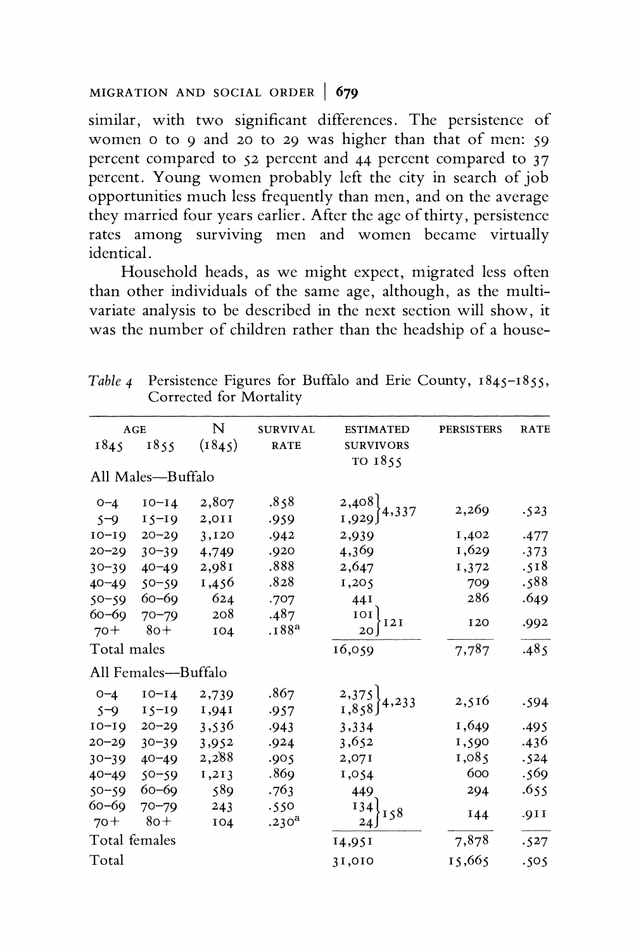similar, with two significant differences. The persistence of women o to 9 and 20 to 29 was higher than that of men:  $59$ percent compared to 52 percent and 44 percent compared to 37 percent. Young women probably left the city in search of job opportunities much less frequently than men, and on the average they married four years earlier. After the age of thirty, persistence rates among surviving men and women became virtually identical.

Household heads, as we might expect, migrated less often than other individuals of the same age, although, as the multivariate analysis to be described in the next section will show, it was the number of children rather than the headship of a house-

|               | ACE                  | N      | <b>SURVIVAL</b>   | <b>ESTIMATED</b>  | <b>PERSISTERS</b> | <b>RATE</b> |
|---------------|----------------------|--------|-------------------|-------------------|-------------------|-------------|
| 1845          | 1855                 | (1845) | <b>RATE</b>       | <b>SURVIVORS</b>  |                   |             |
|               |                      |        |                   | TO 1855           |                   |             |
|               | All Males-Buffalo    |        |                   |                   |                   |             |
| $O - 4$       | $IO-I4$              | 2,807  | .858              | 2,408             | 2,269             | .523        |
| $5 - 9$       | $I5-I9$              | 2,011  | .959              | 4,337<br>1,929    |                   |             |
| $10 - 19$     | $20 - 29$            | 3,120  | .942              | 2,939             | I,402             | .477        |
| $20 - 29$     | $30 - 39$            | 4,749  | .920              | 4,369             | 1,629             | .373        |
| $30 - 39$     | $40 - 49$            | 2,981  | .888              | 2,647             | 1,372             | .518        |
| $40 - 49$     | $50 - 59$            | 1,456  | .828              | 1,205             | 709               | .588        |
| $50 - 59$     | $60 - 69$            | 624    | .707              | 441               | 286               | .649        |
| $60 - 69$     | $70 - 79$            | 208    | .487              | IOI<br><b>I2I</b> | 120               | .992        |
| $70+$         | $80+$                | 104    | .188 <sup>a</sup> | 20                |                   |             |
| Total males   |                      |        |                   | 16,059            | 7,787             | .485        |
|               | All Females--Buffalo |        |                   |                   |                   |             |
| $O - 4$       | $10 - 14$            | 2,739  | .867              | 2,375             |                   |             |
| $5-9$         | $15 - 19$            | 1,941  | .957              | 4,233<br>1,858    | 2,516             | 594ء        |
| $10 - 19$     | $20 - 20$            | 3,536  | .943              | 3,334             | 1,649             | .495        |
| $20 - 29$     | $30 - 39$            | 3,952  | .924              | 3,652             | 1,590             | .436        |
| $30 - 39$     | $40 - 49$            | 2,288  | .905              | 2,071             | 1,085             | .524        |
| $40 - 49$     | $50 - 59$            | 1,213  | .869              | 1,054             | 600               | .569        |
| $50 - 59$     | $60 - 69$            | 589    | .763              | 449               | 294               | .655        |
| $60 - 69$     | $70 - 79$            | 243    | .550              | 134<br>158        |                   |             |
| $70+$         | $80+$                | 104    | .230 <sup>a</sup> | 24                | 144               | <b>11Q.</b> |
| Total females |                      |        |                   | 14,951            | 7,878             | .527        |
| Total         |                      |        |                   | 31,010            | 15,665            | .505        |
|               |                      |        |                   |                   |                   |             |

*Tablc 4*  Persistence Figures for Buffalo and Erie County, 1845-1855, Corrected for Mortality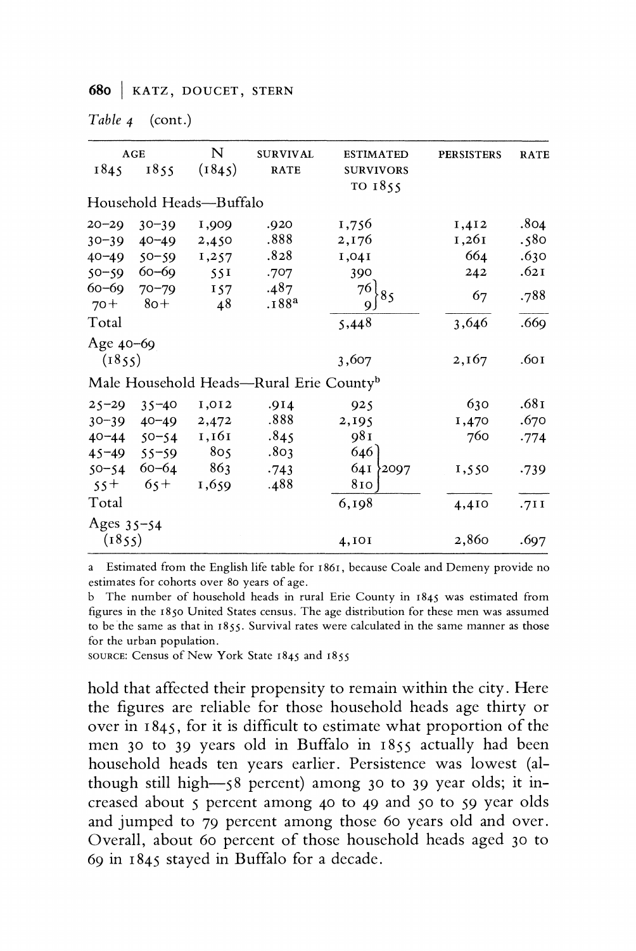Table 4 (cont.)

AGE N SURVIVAL ESTIMATED PERSISTERS RATE<br>1855 (1845) RATE SURVIVORS 1845 1855 (1845) RATE SURVIVORS TO 1855 Household Heads-Buffalo 20-29 30-39 1,909 .92O 1,756  $.804$ 1,412 30-39 40-49 2,450 .888 2,176 1,261  $.580$ 664  $.630$ 40-49 50-59 1,257 .828 1,041 242  $.621$ 50–59 60–69 551 .707 390<sub>,</sub>  $60-69$  70-79  $157$  .487<br>70+ 80+ 48 .188<sup>a</sup> 67 .788  $70+ 80+ 48$  .188<sup>a</sup> 9<sup>]</sup> 3,646 .669  $Total$  5,448 Age 40-69 2,167  $.60I$  $(1855)$  3,607 Male Household Heads-Rural Erie County<sup>b</sup> 25-29 35-40 1,012 .9I4 925 630  $.68<sub>I</sub>$ 1,470 .670 30-39 40-49 2,472 ,888 2,195 40-44 50-54 1,161 .845 760  $.774$ 646 45-49 55-59 805 .803<br>50-54 60-64 863 .743 641 2097 50-54 60-64 863 .743 1,550  $.739$  $55+$  65+ 1,659 .488 <u>810</u> Total 6,198 4,410  $.711$ Ages  $35-54$ <br>( $1855$ ) 2,860 .697  $(1855)$  4,101

a Estimated from the English life table for I 861, because Coale and Derneny provide no estimates for cohorts over 80 years of age.

b The number of household heads in rural Erie County in 1845 was estimated from figures in the 1850 United States census. The age distribution for these men was assumed to be thc same as that in 1855. Survival rates were calculated in the same manner as those for thc urban population.

SOURCE: Census of New York State 1845 and 1855

hold that affected their propensity to remain within the city. Here the figures are reliable for those household heads age thirty or over in I 845, for it is difficult to estimate what proportion of the men 30 to 39 years old in Buffalo in 1855 actually had been household heads ten years earlier. Persistence was lowest (although still high-58 percent) among 30 to 39 year olds; it increased about 5 percent among 40 to 49 and 50 to 59 year olds and jumped to 79 percent among those 60 years old and over. Overall, about 60 percent of those household heads aged 30 to 69 in 1845 stayed in Buffalo for a decade.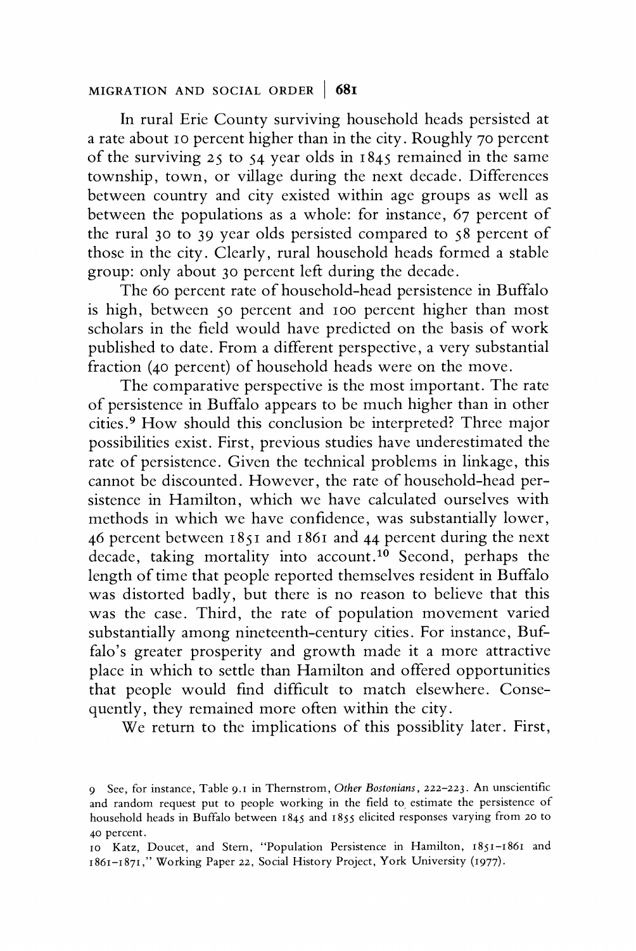#### MIGRATION AND SOCIAL ORDER 1 **681**

In rural Erie County surviving household heads persisted at a rate about 10 percent higher than in the city. Roughly 70 percent of the surviving 25 to 54 year olds in  $1845$  remained in the same township, town, or village during the next decade. Differences between country and city existed within age groups as well as between the populations as a whole: for instance, 67 percent of the rural 30 to 39 year olds persisted compared to  $58$  percent of those in the city. Clearly, rural household heads formed a stable group: only about 30 percent left during the decade.

The 60 percent rate of household-head persistence in Buffalo is high, between 50 percent and IOO percent higher than most scholars in the field would have predicted on the basis of work published to date. From a different perspective, a very substantial fraction (40 percent) of household heads were on the move.

The comparative perspective is the most important. The rate of persistence in Buffalo appears to be much higher than in other cities.<sup>9</sup> How should this conclusion be interpreted? Three major possibilities exist. First, previous studies have underestimated the rate of persistence. Given the technical problems in linkage, this cannot be discounted. However, the rate of household-head persistence in Hamilton, which we have calculated ourselves with methods in which we have confidence, was substantially lower, 46 percent between I 85I and I 861 and 44 percent during the next decade, taking mortality into account.<sup>10</sup> Second, perhaps the length of time that people reported themselves resident in Buffalo was distorted badly, but there is no reason to believe that this was the case. Third, the rate of population movement varied substantially among nineteenth-century cities. For instance, Buffalo's greater prosperity and growth made it a more attractive place in which to settle than Hamilton and offered opportunities that people would find difficult to match elsewhere. Consequently, they remained more often within the city.

We return to the implications of this possiblity later. First,

<sup>9</sup> See, for instance, Table 9.1 in Thernstrom, *Other* Bostonians, *222-223.* An unscientific and random request put to people working in the field to estimate the persistence of household heads in Buffalo between 1845 and 1855 elicited responses varying from 20 to 40 percent.

<sup>10</sup> Katz, Doucet, and Stem, "Population Persistence in Hamilton, 1851-1861 and 1861-1871," Working Paper *22,* Social History Project, York University (1977).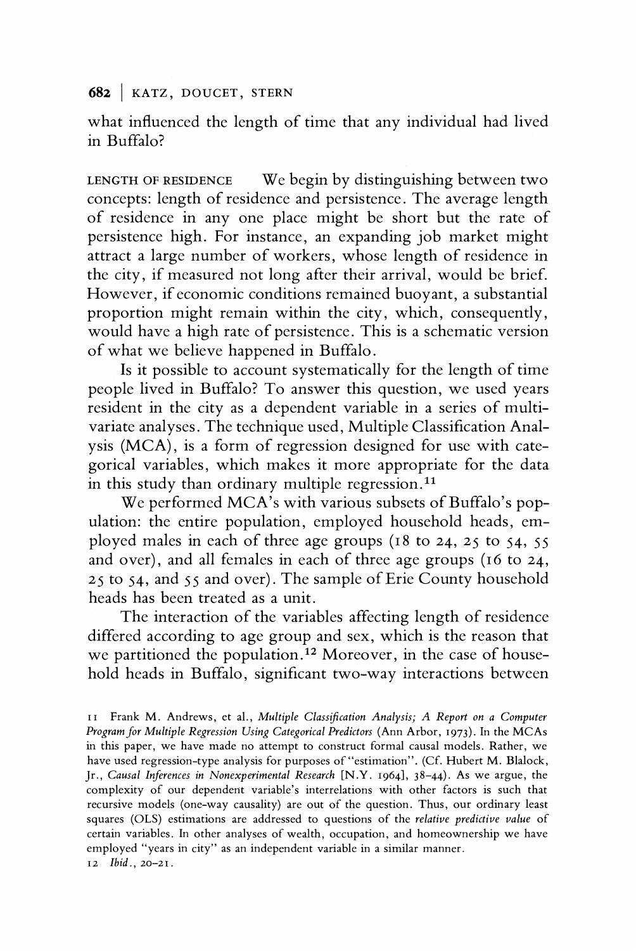what influenced the length of time that any individual had lived in Buffalo?

LENGTH OF RESIDENCE We begin by distinguishing between two concepts: length of residence and persistence. The average length of residence in any one place might be short but the rate of persistence high. For instance, an expanding job market might attract a large number of workers, whose length of residence in the city, if measured not long after their arrival, would be brief. However, if economic conditions remained buoyant, a substantial proportion might remain within the city, which, consequently, would have a high rate of persistence. This is a schematic version of what we believe happened in Buffalo.

Is it possible to account systematically for the length of time people lived in Buffalo? To answer this question, we used years resident in the city as a dependent variable in a series of multivariate analyses. The technique used, Multiple Classification Analysis (MCA), is a form of regression designed for use with categorical variables, which makes it more appropriate for the data in this study than ordinary multiple regression.<sup>11</sup>

We performed MCA's with various subsets of Buffalo's population: the entire population, employed household heads, employcd males in each of three age groups (18 to 24, 25 to 54, 55 and over), and all females in each of three age groups (16 to 24, 25 to 54, and 55 and over). The sample of Erie County household heads has been treated as a unit.

The interaction of the variables affecting length of residence differed according to age group and sex, which is the reason that we partitioned the population.<sup>12</sup> Moreover, in the case of household heads in Buffalo, significant two-way interactions between

<sup>11</sup> Frank M. Andrews, et al., *Multiple Classification Analysis; A Report on a Computer Program for Multiple Regression Using Categorical Predictors* (Ann Arbor, 1973). In the MCAs in this paper, we have made no attempt to construct formal causal models. Rather, we have used regression-type analysis for purposes of "estimation". (Cf. Hubert M. Blalock, Jr., *Causal Inferences in Nonexperimental Research [N.Y. 19641, 38-44).* As we argue, the complexity of our dependent variable's interrelations with other factors is such that recursive models (one-way causality) are out of the question. Thus, our ordinary least squares (OLS) estimations are addressed to questions of the *relative predictive value* of certain variables. In other analyses of wealth, occupation, and homeownership we have employed "years in city" as an independent variable in a similar manner. *12 Ibid..zo-21.*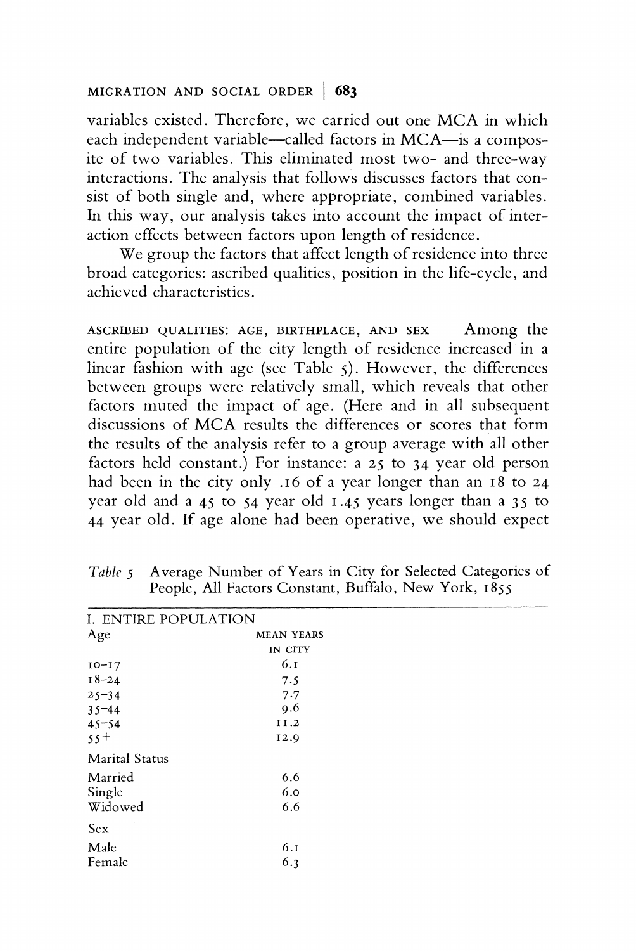### MIGRATION AND SOCIAL ORDER | 683

variables existed. Therefore, we carried out one MCA in which each independent variable—called factors in MCA—is a composite of two variables. This eliminated most two- and three-way interactions. The analysis that follows discusses factors that consist of both single and, where appropriate, combined variables. In this way, our analysis takes into account the impact of interaction effects between factors upon length of residence.

We group the factors that affect length of residence into three broad categories: ascribed qualities, position in the life-cycle, and achieved characteristics.

ASCRIBED QUALITIES: AGE, BIRTHPLACE, AND SEX Among the entire population of the city length of residence increased in a linear fashion with age (see Table 5). However, the differences between groups were relatively small, which reveals that other factors muted thc impact of age. (Here and in all subsequent discussions of MCA results the differences or scores that form the results of the analysis refer to a group average with all other factors held constant.) For instance: a 25 to 34 year old person had been in the city only .16 of a year longer than an 18 to 24 year old and a 45 to 54 year old I .45 years longer than a 35 to 44 year old. If age alone had been operative, we should expect

| <b>I. ENTIRE POPULATION</b> |                   |
|-----------------------------|-------------------|
| Age                         | <b>MEAN YEARS</b> |
|                             | IN CITY           |
| $IO-I7$                     | 6.1               |
| $18 - 24$                   | 7.5               |
| $25 - 34$                   | 7.7               |
| $35 - 44$                   | 9.6               |
| $45 - 54$                   | 11.2              |
| $55+$                       | 12.9              |
| <b>Marital Status</b>       |                   |
| Married                     | 6.6               |
| Single                      | 6.0               |
| Widowed                     | 6.6               |
| <b>Sex</b>                  |                   |
| Male                        | 6.1               |
| Female                      | 6.3               |

*Table 5*  Average Number of Years in City for Selected Categories of People, All Factors Constant, Buffalo, New York, I *<sup>855</sup>*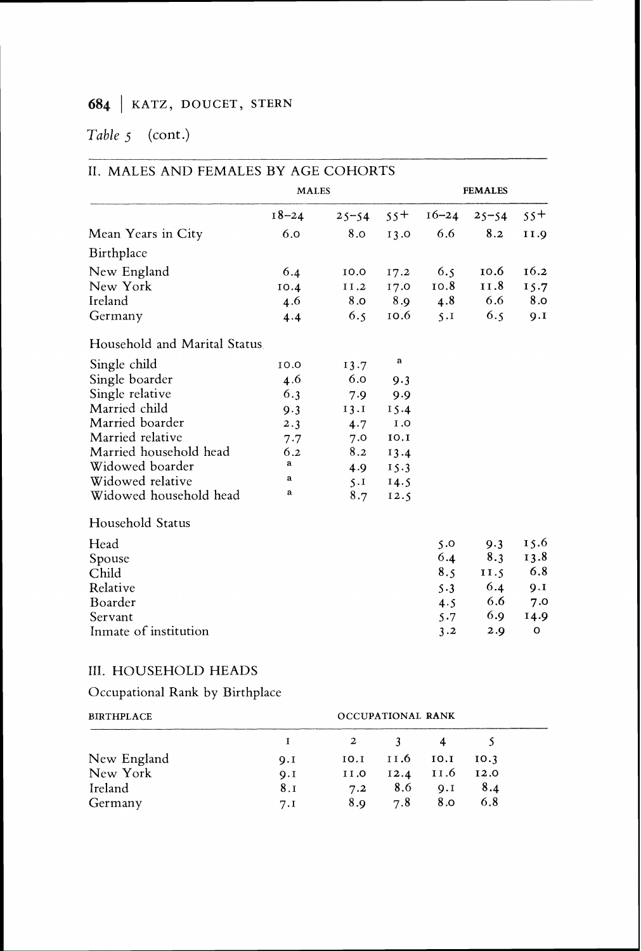# 684 | KATZ, DOUCET, STERN

# Table *5* (cont.)

|                               | <b>MALES</b> |           |             | <b>FEMALES</b> |           |             |
|-------------------------------|--------------|-----------|-------------|----------------|-----------|-------------|
|                               | $18 - 24$    | $25 - 54$ | $55+$       | $16 - 24$      | $25 - 54$ | $55+$       |
| Mean Years in City            | 6.0          | 8.0       | 13.0        | 6.6            | 8.2       | <b>Q.11</b> |
| Birthplace                    |              |           |             |                |           |             |
| New England                   | 6.4          | 10.0      | 17.2        | 6.5            | 10.6      | 16.2        |
| New York                      | 10.4         | II.2      | 17.0        | 10.8           | II.8      | 15.7        |
| Ireland                       | 4.6          | 8.0       | 8.9         | 4.8            | 6.6       | 0.8         |
| Germany                       | 4.4          | 6.5       | 10.6        | 5.1            | 6.5       | 9.1         |
| Household and Marital Status. |              |           |             |                |           |             |
| Single child                  | 10.0         | 13.7      | $\mathbf a$ |                |           |             |
| Single boarder                | 4.6          | 6.0       | 9.3         |                |           |             |
| Single relative               | 6.3          | 7.9       | 9.9         |                |           |             |
| Married child                 | 9.3          | 13.1      | 15.4        |                |           |             |
| Married boarder               | 2.3          | 4.7       | I.O         |                |           |             |
| Married relative              | 7.7          | 7.0       | 10.1        |                |           |             |
| Married household head        | 6.2          | 8.2       | 13.4        |                |           |             |
| Widowed boarder               | a            | 4.9       | 15.3        |                |           |             |
| Widowed relative              | $\mathbf{a}$ | 5.1       | 14.5        |                |           |             |
| Widowed household head        | a            | 8.7       | 12.5        |                |           |             |
| Household Status              |              |           |             |                |           |             |
| Head                          |              |           |             | 5.0            | 9.3       | 15.6        |
| Spouse                        |              |           |             | 6.4            | 8.3       | 13.8        |
| Child                         |              |           |             | 8.5            | 11.5      | 6.8         |
| Relative                      |              |           |             | 5.3            | 6.4       | 9.1         |
| Boarder                       |              |           |             | 4.5            | 6.6       | 7.0         |
| Servant                       |              |           |             | 5.7            | 6.9       | 14.9        |
| Inmate of institution         |              |           |             | 3.2            | 2.9       | o           |

# 111. HOUSEHOLD HEADS

# Occupational Rank by Birthplace

| <b>BIRTHPLACE</b> | OCCUPATIONAL RANK |      |      |         |      |  |
|-------------------|-------------------|------|------|---------|------|--|
|                   |                   |      |      |         |      |  |
| New England       | 9.1               | 10.I | 11.6 | 10.I    | 10.3 |  |
| New York          | Q.I               | 0.11 | 12.4 | 11.6    | 12.0 |  |
| Ireland           | 8.1               | 7.2  | 8.6  | $Q_{1}$ | 8.4  |  |
| Germany           | 7.I               | 8.9  | 7.8  | 8.0     | 6.8  |  |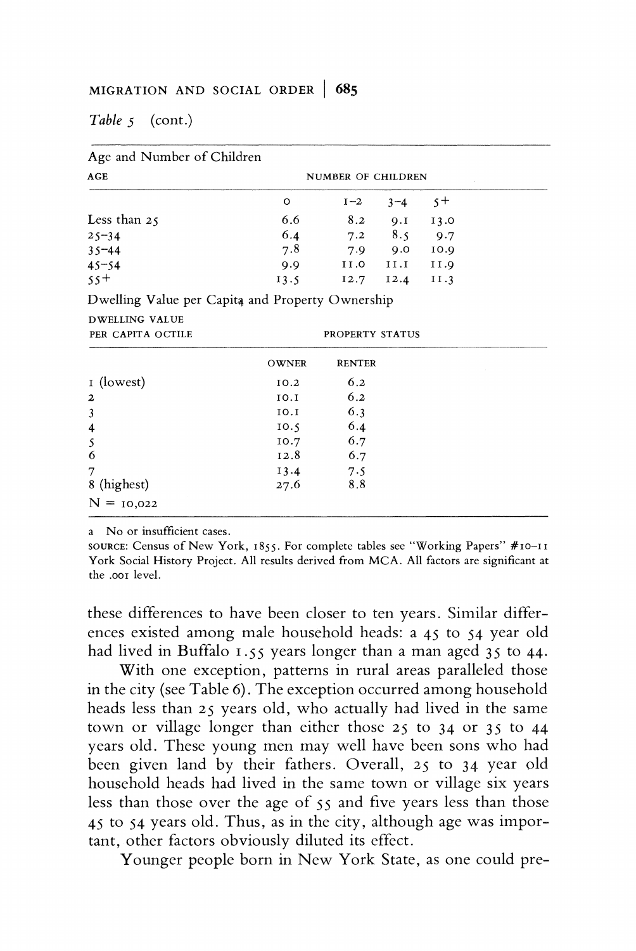### *Table 5* (cont.)

| AGE            |      | NUMBER OF CHILDREN |             |             |  |
|----------------|------|--------------------|-------------|-------------|--|
|                | o    | $I-2$              | $3 - 4$     | $5+$        |  |
| Less than $25$ | 6.6  | 8.2                | 9.1         | 13.0        |  |
| $25 - 34$      | 6.4  | 7.2                | 8.5         | 9.7         |  |
| $35 - 44$      | 7.8  | 7.9                | 9.0         | 10.9        |  |
| $45 - 54$      | 9.9  | <b>11.0</b>        | <b>II.I</b> | <b>Q.11</b> |  |
| $55+$          | 13.5 | 12.7               | 12.4        | II.3        |  |

Dwelling Value per Capita and Property Ownership

| DWELLING VALUE |                                      |  |
|----------------|--------------------------------------|--|
|                | $0.55 \times 0.075$ $\wedge$ $0.075$ |  |

PER CAPITA OCTILE PROPERTY STATUS

|                | <b>OWNER</b> | <b>RENTER</b> |
|----------------|--------------|---------------|
| I (lowest)     | 10.2         | 6.2           |
| $\overline{a}$ | 10.1         | 6.2           |
| 3              | 10.I         | 6.3           |
| $\overline{4}$ | 10.5         | 6.4           |
| 5              | 10.7         | 6.7           |
| 6              | 12.8         | 6.7           |
| 7              | 13.4         | 7.5           |
| 8 (highest)    | 27.6         | 8.8           |
| $N = 10,022$   |              |               |

a No or insufficient cases.

**SOURCE:** Census of New York, 1855. For completc tables see "Working Papers" #lo-I I York Social History Project. All results derived from MCA. All factors are significant at the ,001 level.

these differences to have been closer to ten years. Similar differences existed among male household heads: a 45 to 54 year old had lived in Buffalo 1.55 years longer than a man aged 35 to 44.

With one exception, patterns in rural areas paralleled those in the city (see Table 6). The exception occurred among household heads less than *25* years old, who actually had lived in the same town or village longer than eithcr those *25* to 34 or *35* to 44 years old. These young men may well have been sons who had been given land by their fathers. Overall, 25 to 34 year old household heads had lived in the same town or village six years less than those over the age of 55 and five years less than those 45 to 54 years old. Thus, as in the city, although age was important, other factors obviously diluted its effect.

Younger people born in New York State, as one could pre-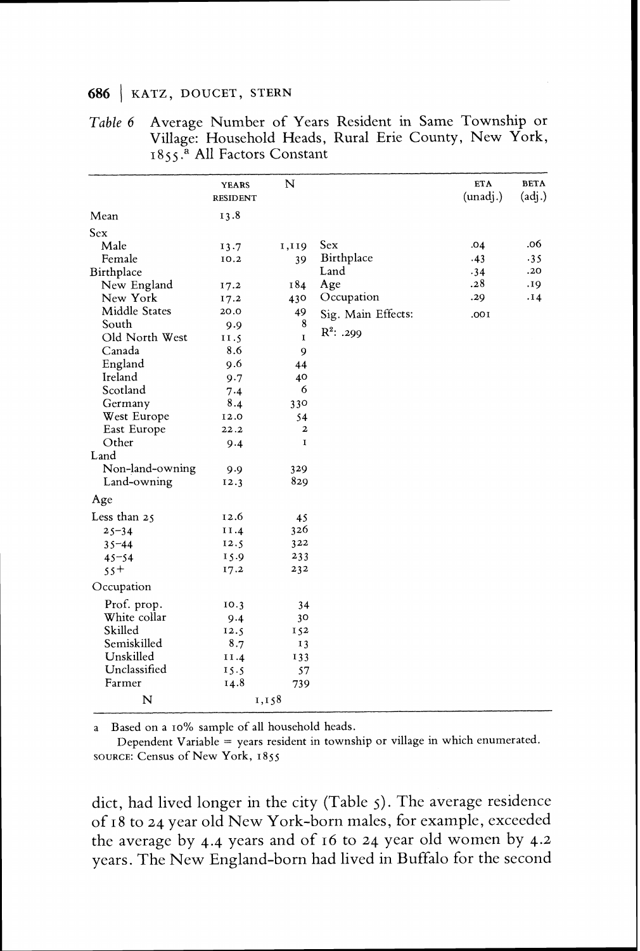## **686** / KATZ, DOUCET, STERN

|                 | <b>YEARS</b><br><b>RESIDENT</b> | N            |                    | <b>ETA</b><br>(unadj.) | <b>BETA</b><br>(ad <sub>i</sub> .) |
|-----------------|---------------------------------|--------------|--------------------|------------------------|------------------------------------|
| Mean            | 13.8                            |              |                    |                        |                                    |
| <b>Sex</b>      |                                 |              |                    |                        |                                    |
| Male            | 13.7                            | 1,119        | Sex                | .04                    | .06                                |
| Female          | 10.2                            | 39           | Birthplace         | .43                    | .35                                |
| Birthplace      |                                 |              | Land               | .34                    | .20                                |
| New England     | 17.2                            | 184          | Age                | .28                    | .19                                |
| New York        | 17.2                            | 430          | Occupation         | .29                    | .14                                |
| Middle States   | 20.0                            | 49           | Sig. Main Effects: | 100.                   |                                    |
| South           | 9.9                             | 8            |                    |                        |                                    |
| Old North West  | 11.5                            | $\mathbf I$  | $R^2$ : .299       |                        |                                    |
| Canada          | 8.6                             | 9            |                    |                        |                                    |
| England         | 9.6                             | 44           |                    |                        |                                    |
| Ireland         | 9.7                             | 40           |                    |                        |                                    |
| Scotland        | 7.4                             | 6            |                    |                        |                                    |
| Germany         | 8.4                             | 330          |                    |                        |                                    |
| West Europe     | 12.0                            | 54           |                    |                        |                                    |
| East Europe     | 22.2                            | $\mathbf{2}$ |                    |                        |                                    |
| Other           | 9.4                             | $\mathbf I$  |                    |                        |                                    |
| Land            |                                 |              |                    |                        |                                    |
| Non-land-owning | 9.9                             | 329          |                    |                        |                                    |
| Land-owning     | 12.3                            | 829          |                    |                        |                                    |
| Age             |                                 |              |                    |                        |                                    |
| Less than $25$  | 12.6                            | 45           |                    |                        |                                    |
| $25 - 34$       | 11.4                            | 326          |                    |                        |                                    |
| $35 - 44$       | 12.5                            | 322          |                    |                        |                                    |
| $45 - 54$       | 15.9                            | 233          |                    |                        |                                    |
| $55+$           | 17.2                            | 232          |                    |                        |                                    |
| Occupation      |                                 |              |                    |                        |                                    |
| Prof. prop.     | 10.3                            | 34           |                    |                        |                                    |
| White collar    | 9.4                             | 30           |                    |                        |                                    |
| Skilled         | 12.5                            | 152          |                    |                        |                                    |
| Semiskilled     | 8.7                             | 13           |                    |                        |                                    |
| Unskilled       | 11.4                            | 133          |                    |                        |                                    |
| Unclassified    | 15.5                            | 57           |                    |                        |                                    |
| Farmer          | 14.8                            | 739          |                    |                        |                                    |
| N               |                                 | 1,158        |                    |                        |                                    |

*Table* 6 Average Number of Years Resident in Same Township or Village: Household Heads, Rural Erie County, New York, 1855.<sup>a</sup> All Factors Constant

a Based on a 10% sample of all household heads.

Dependent Variable = years resident in township or village in which enumerated. **SOURCE:** Census of New York, 1855

dict, had lived longer in the city (Table *5).* The average residence of 18 to 24 year old New York-born males, for example, exceeded the average by 4.4 years and of 16 to 24 year old women by 4.2 years. The New England-born had lived in Buffalo for the second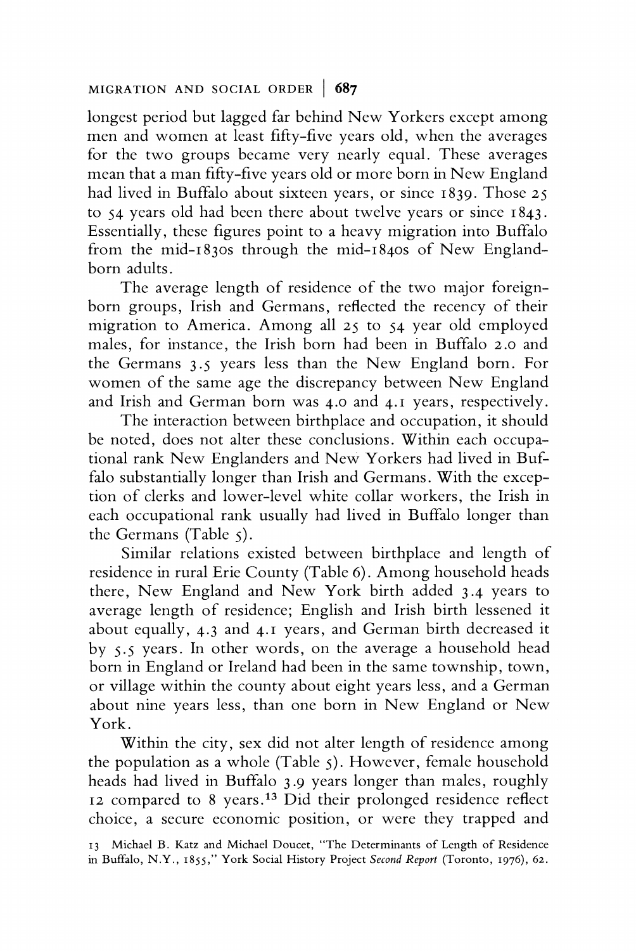#### MIGRATION AND SOCIAL ORDER | 687

longest period but lagged far behind New Yorkers except among men and women at least fifty-five years old, when the averages for the two groups became very nearly equal. These averages mean that a man fifty-five years old or more born in New England had lived in Buffalo about sixteen years, or since 1839. Those 25 to 54 years old had been there about twelve years or since 1843. Essentially, these figures point to a heavy migration into Buffalo from the mid-1830s through the mid-1840s of New Englandborn adults.

The average length of residence of the two major foreignborn groups, Irish and Germans, reflected the recency of their migration to America. Among all 25 to 54 year old employed males, for instance, the Irish born had been in Buffalo 2.0 and the Germans 3.5 years less than the New England born. For women of the same age the discrepancy between New England and Irish and German born was 4.0 and 4. I years, respectively.

The interaction between birthplace and occupation, it should be noted, does not alter these conclusions. Within each occupational rank New Englanders and New Yorkers had lived in Buffalo substantially longer than Irish and Germans. With the exception of clerks and lower-level white collar workers, the Irish in each occupational rank usually had lived in Buffalo longer than the Germans (Table  $\varsigma$ ).

Similar relations existed between birthplace and length of residence in rural Erie County (Table 6). Among household heads there, New England and New York birth added 3.4 years to average length of residence; English and Irish birth lessened it about equally, 4.3 and 4.1 years, and German birth decreased it by 5.5 years. In other words, on the average a household head born in England or Ireland had been in the same township, town, or village within the county about eight years less, and a German about nine years less, than one born in New England or New York.

Within the city, sex did not alter length of residence among the population as a whole  $(Table 5)$ . However, female household heads had lived in Buffalo 3.9 years longer than males, roughly 12 compared to 8 years.13 Did their prolonged residence reflect choice, a secure economic position, or were they trapped and

<sup>13</sup> Michael B. Katz and Michael Doucet, "The Determinants of Lcngth of Residence in Buffalo, N.Y., 1855," York Social History Project Second Report (Toronto, 1976), 62.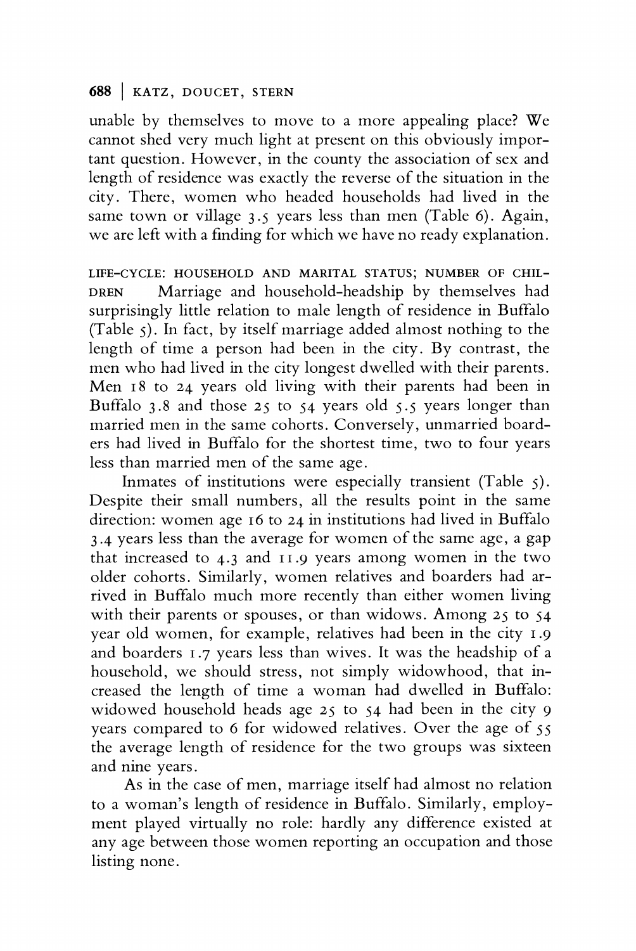### 688 | KATZ, DOUCET, STERN

unable by themselves to move to a more appealing place? We cannot shed very much light at present on this obviously important question. However, in the county the association of sex and length of residence was exactly the reverse of the situation in the city. There, women who headed households had lived in the same town or village 3.5 years less than men (Table 6). Again, we are left with a finding for which we have no ready explanation.

LIFE-CYCLE: HOUSEHOLD AND MARITAL STATUS; NUMBER OF CHIL-DREN Marriage and household-headship by themselves had surprisingly little relation to male length of residence in Buffalo (Table 5). In fact, by itself marriage added almost nothing to the length of time a person had been in the city. By contrast, the men who had lived in the city longest dwelled with their parents. Men 18 to 24 years old living with their parents had been in Buffalo 3.8 and those 25 to 54 years old 5.5 years longer than married men in the same cohorts. Conversely, unmarried boarders had lived in Buffalo for the shortest time, two to four years less than married men of the same age.

Inmates of institutions were especially transient (Table 5). Despite their small numbers, all the results point in the same direction: women age 16 to 24 in institutions had lived in Buffalo 3.4 years less than the average for women of the same age, a gap that increased to 4.3 and 11.9 years among women in the two older cohorts. Similarly, women relatives and boarders had arrived in Buffalo much more recently than either women living with their parents or spouses, or than widows. Among 25 to 54 year old women, for example, relatives had been in the city I .9 and boarders 1.7 years less than wives. It was the headship of a household, we should stress, not simply widowhood, that increased the length of time a woman had dwelled in Buffalo: widowed household heads age 25 to 54 had been in the city 9 years compared to 6 for widowed relatives. Over the age of 55 the average length of residence for the two groups was sixteen and nine years.

As in the case of men, marriage itself had almost no relation to a woman's length of residence in Buffalo. Similarly, employment played virtually no role: hardly any difference existed at any age between those women reporting an occupation and those listing none.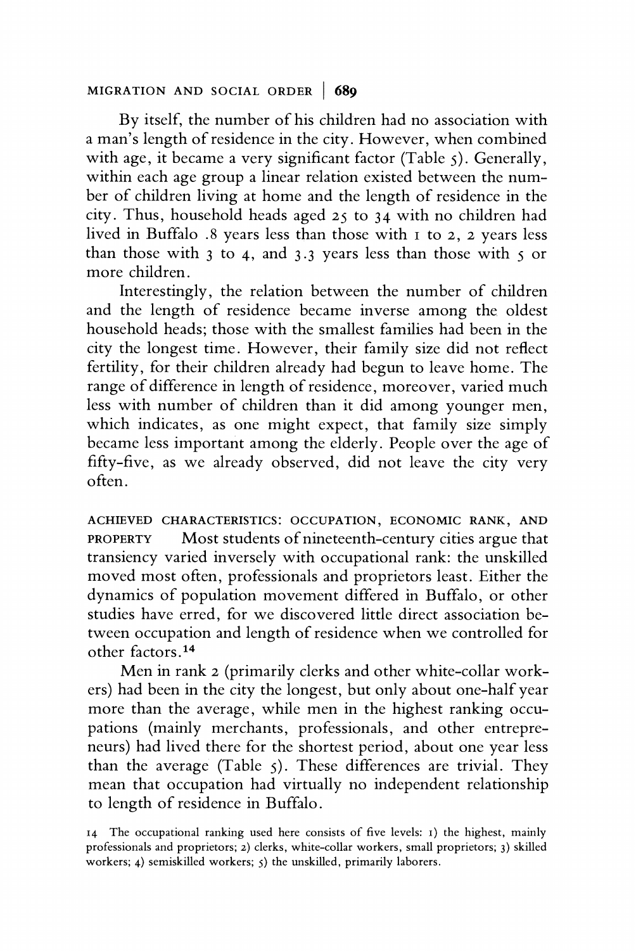#### MIGRATION AND SOCIAL ORDER | 689

By itself, the number of his children had no association with a man's length of residence in the city. However, when combined with age, it became a very significant factor (Table 5). Generally, within each age group a linear relation existed between the number of children living at home and the length of residence in the city. Thus, household heads aged 25 to 34 with no children had lived in Buffalo .8 years less than those with I to 2, 2 years less than those with 3 to 4, and 3.3 years less than those with  $\varsigma$  or more children.

Interestingly, the relation between the number of children and the length of residence became inverse among the oldest household heads; those with the smallest families had been in the city the longest time. However, their family size did not reflect fertility, for their children already had begun to leave home. The range of difference in length of residence, moreover, varied much less with number of children than it did among younger men, which indicates, as one might expect, that family size simply became less important among the elderly. People over the age of fifty-five, as we already observed, did not leave the city very often.

ACHIEVED CHARACTERISTICS: OCCUPATION, ECONOMIC RANK, AND PROPERTY Most students of nineteenth-century cities argue that transiency varied inversely with occupational rank: the unskilled moved most often, professionals and proprietors least. Either the dynamics of population movement differed in Buffalo, or other studies have erred, for we discovered little direct association between occupation and length of residence when we controlled for other factors.14

Men in rank 2 (primarily clerks and other white-collar workers) had been in the city the longest, but only about one-half year more than the average, while men in the highest ranking occupations (mainly merchants, professionals, and other entrepreneurs) had lived there for the shortest period, about one year less than the average (Table *5).* These differences are trivial. They mean that occupation had virtually no independent relationship to length of residence in Buffalo.

<sup>14</sup> The occupational ranking used here consists of five levels: I) the highest, mainly professionals and proprietors; z) clerks, white-collar workers, small proprietors; 3) skilled workers; 4) semiskilled workers; 5) the unskilled, primarily laborers.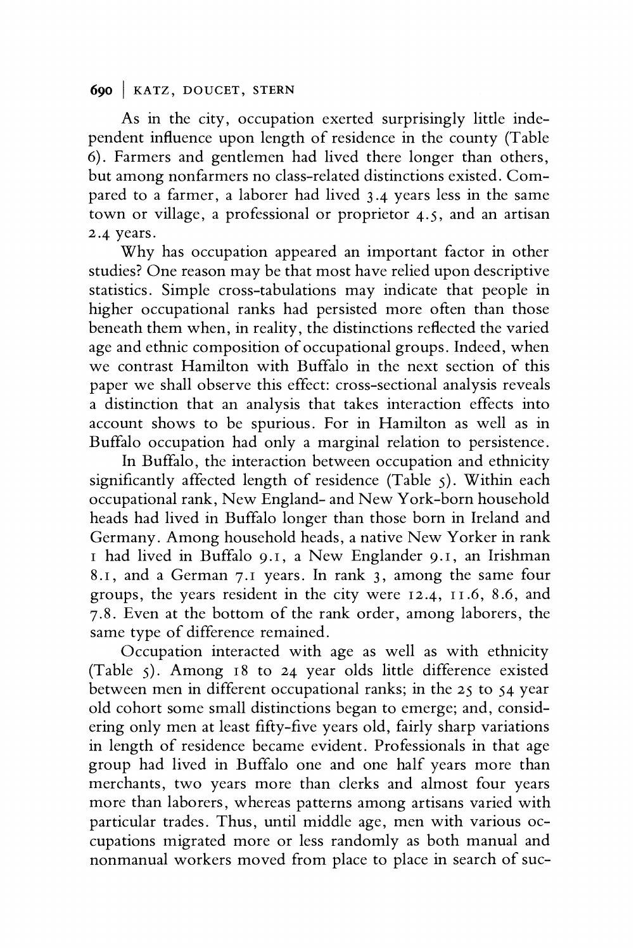### **690** 1 KATZ, DOUCET, STERN

As in the city, occupation exerted surprisingly little independent influence upon length of residence in the county (Table 6). Farmers and gentlemen had lived there longer than others, but among nonfarmers no class-related distinctions existed. Compared to a farmer, a laborer had lived 3.4 years less in the same town or village, a professional or proprietor 4.5, and an artisan 2.4 years.

Why has occupation appeared an important factor in other studies? One reason may be that most have relied upon descriptive statistics. Simple cross-tabulations may indicate that people in higher occupational ranks had persisted more often than those beneath them when, in reality, the distinctions reflected the varied age and ethnic composition of occupational groups. Indeed, when we contrast Hamilton with Buffalo in the next section of this paper we shall observe this effect: cross-sectional analysis reveals a distinction that an analysis that takes interaction effects into account shows to be spurious. For in Hamilton as well as in Buffalo occupation had only a marginal relation to persistence.

In Buffalo, the interaction between occupation and ethnicity significantly affected length of residence (Table  $\varsigma$ ). Within each occupational rank, New England- and New York-born household heads had lived in Buffalo longer than those born in Ireland and Germany. Among household heads, a native New Yorker in rank I had lived in Buffalo 9.I, a New Englander 9.I, an Irishman 8.1, and a German 7.1 years. In rank 3, among the same four groups, the years resident in the city were 12.4, 11.6, 8.6, and 3.8. Even at the bottom of the rank order, among laborers, the same type of difference remained.

Occupation interacted with age as well as with ethnicity (Table *5).* Among 18 to 24 year olds little difference existed between men in different occupational ranks; in the 25 to 54 year old cohort some small distinctions began to emerge; and, considering only men at least fifty-five years old, fairly sharp variations in length of residence became evident. Professionals in that age group-had lived in Buffalo one and one half years more than merchants, two years more than clerks and almost four years more than laborers, whereas patterns among artisans varied with particular trades. Thus, until middle age, men with various occupations rnigrated more or less randomly as both manual and nonmanual workers moved from place to place in search of suc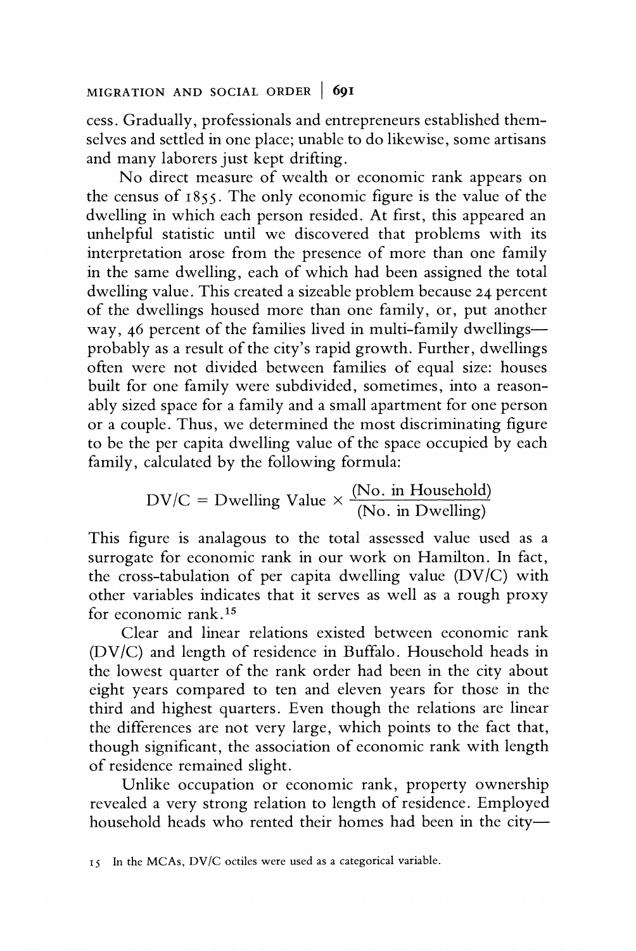cess. Gradually, professionals and entrepreneurs established themselves and settled in one place; unable to do likewise, some artisans and many laborers just kept drifting.

No direct measure of wealth or economic rank appears on the census of  $1855$ . The only economic figure is the value of the dwelling in which each person resided. At first, this appeared an unhelpful statistic until we discovered that problems with its interpretation arose from the presence of more than one family in the same dwelling, each of which had been assigned the total dwelling value. This created a sizeable problem because 24 percent of the dwellings housed more than one family, or, put another way, 46 percent of the families lived in multi-family dwellingsprobably as a result of the city's rapid growth. Further, dwellings often were not divided between families of equal size: houses built for one family were subdivided, sometimes, into a reasonably sized space for a family and a small apartment for one person or a couple. Thus, we determined the most discriminating figure to be the per capita dwelling value of the space occupied by each family, calculated by the following formula:

$$
DV/C = Dwelling Value \times \frac{(No. in Household)}{(No. in Dwelling)}
$$

This figure is analagous to the total assessed value used as a surrogate for economic rank in our work on Hamilton. In fact, the cross-tabulation of per capita dwelling value  $(DV/C)$  with other variables indicates that it serves as well as a rough proxy for economic rank.15

Clear and linear relations existed between economic rank (DVIC) and length of residence in Buffalo. Household heads in the lowest quarter of the rank order had been in the city about eight years compared to ten and eleven years for those in the third and highest quarters. Even though the relations are linear the differences are not very large, which points to the fact that, though significant, the association of economic rank with length of residence remained slight.

Unlike occupation or economic rank, property ownership revealed a very strong relation to length of residence. Employed household heads who rented their homes had been in the city-

<sup>15</sup> In the **MCAs,** DV/C octiles were used as a categorical variable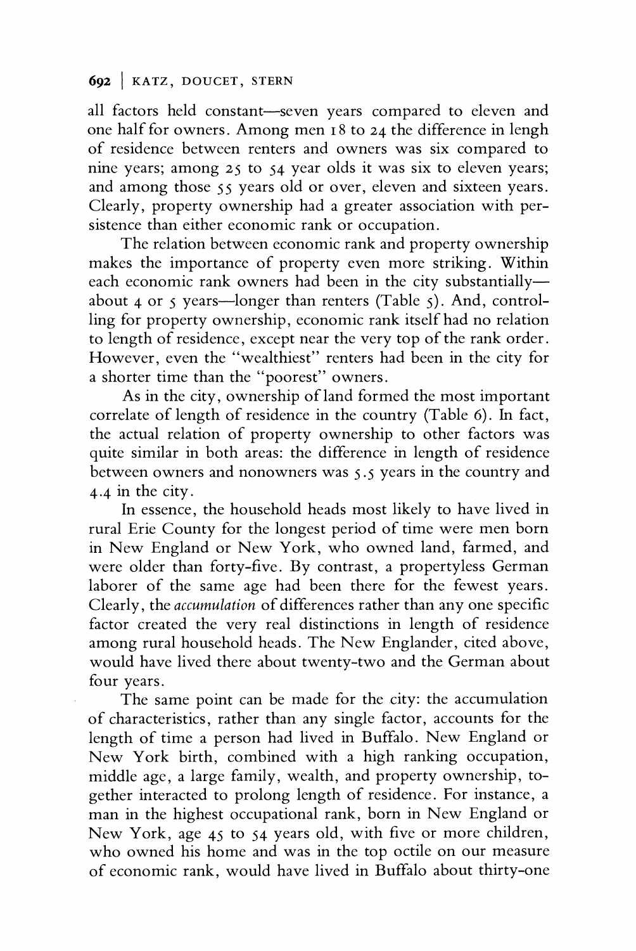all factors held constant-seven years compared to eleven and one half for owners. Among men.18 to *24* the difference in lengh of residence between renters and owners was six compared to nine years; among *25* to *54* year olds it was six to eleven years; and among those *55* years old or over, eleven and sixteen years. Clearly, property ownership had a greater association with persistence than either economic rank or occupation.

The relation between economic rank and property ownership makes the importance of property even more striking. Within each economic rank owners had been in the city substantiallyabout *4* or *5* years-longer than renters (Table *5).* And, controlling for property ownership, economic rank itself had no relation to length of residence, except near the very top of the rank order. However, even the "wealthiest" renters had been in the city for a shorter time than the "poorest" owners.

As in the city, ownership of land formed the most important correlate of length of residence in the country (Table 6). In fact, the actual relation of property ownership to other factors was quite similar in both areas: the difference in length of residence between owners and nonowners was *5 .S* years in the country and 4.4 in the city.

In essence, the household heads most likely to have lived in rural Erie County for the longest period of time were men born in New England or New York, who owned land, farmed, and were older than forty-five. By contrast, a propertyless German laborer of the same age had been there for the fewest years. Clearly, the *accumulation* of differences rather than any one specific factor created the very real distinctions in length of residence among rural household heads. The New Englander, cited above, would have lived there about twenty-two and the German about four years.

The same point can be made for the city: the accumulation of characteristics, rather than any single factor, accounts for the length of time a person had lived in Buffalo. New England or New York birth, combined with a high ranking occupation, middle age, a large family, wealth, and property ownership, together interacted to prolong length of residence. For instance, a man in the highest occupational rank, born in New England or New York, age *45* to *54* years old, with five or more children, who owned his home and was in the top octile on our measure of economic rank, would have lived in Buffalo about thirty-one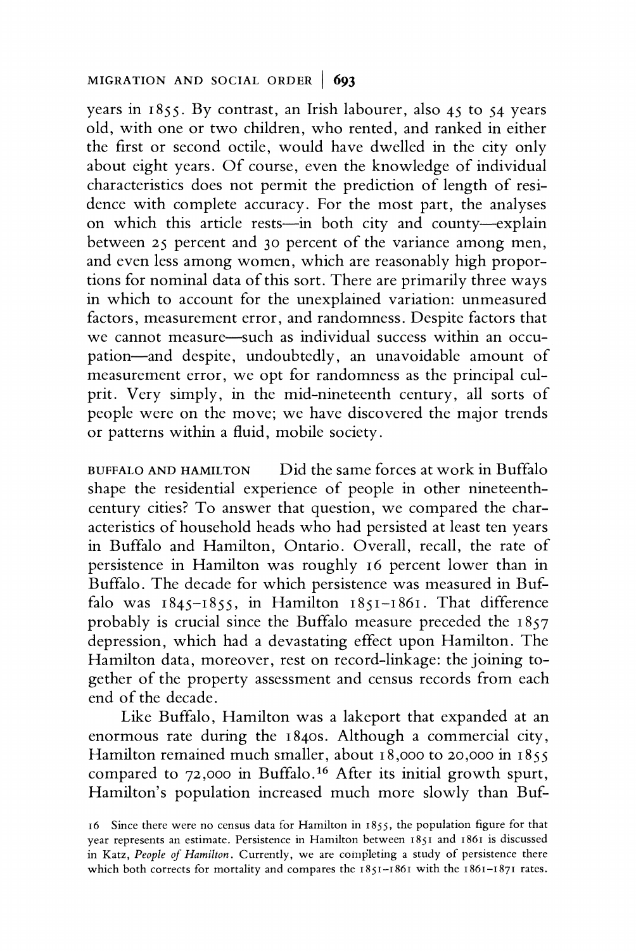### MIGRATION AND SOCIAL ORDER 1 **693**

years in 1855. By contrast, an Irish labourer, also 45 to 54 years old, with one or two children, who rented, and ranked in either the first or second octile, would have dwelled in the city only about eight years. Of course, even the knowledge of individual characteristics does not permit the prediction of length of residence with complete accuracy. For the most part, the analyses on which this article rests-in both city and county-explain between 25 percent and 30 percent of the variance among men, and even less among women, which are reasonably high proportions for nominal data of this sort. There are primarily three ways in which to account for the unexplained variation: unmeasured factors, measurement error, and randomness. Despite factors that we cannot measure-such as individual success within an occupation-and despite, undoubtedly, an unavoidable amount of measurement error, we opt for randomness as the principal culprit. Very simply, in the mid-nineteenth century, all sorts of people were on the move; we have discovered the major trends or patterns within a fluid, mobile society.

BUFFALO AND HAMILTON Did the same forces at work in Buffalo shape the residential experience of people in other nineteenthcentury cities? To answer that question, we compared the characteristics of household heads who had persisted at least ten years in Buffalo and Hamilton, Ontario. Overall, recall, the rate of persistence in Hamilton was roughly 16 percent lower than in Buffalo. The decade for which persistence was measured in Buffalo was  $1845-1855$ , in Hamilton  $1851-1861$ . That difference probably is crucial since the Buffalo measure preceded the 1857 depression, which had a devastating effect upon Hamilton. The Hamilton data, moreover, rest on record-linkage: the joining together of the property assessment and census records from each end of the decade.

Like Buffalo, Hamilton was a lakeport that expanded at an enormous rate during the 1840s. Although a commercial city, Hamilton remained much smaller, about  $18,000$  to 20,000 in  $1855$ compared to 72,000 in Buffalo.16 After its initial growth spurt, Hamilton's population increased much more slowly than Buf-

<sup>16</sup> Since there were no census data for Hamilton in 185j, the population figure for that year represents an estimate. Persistence in Hamilton between 1851 and 1861 is discussed in Katz, People of Hamilton. Currently, we are completing a study of persistence there which both corrects for mortality and compares the  $1851 - 1861$  with the  $1861 - 1871$  rates.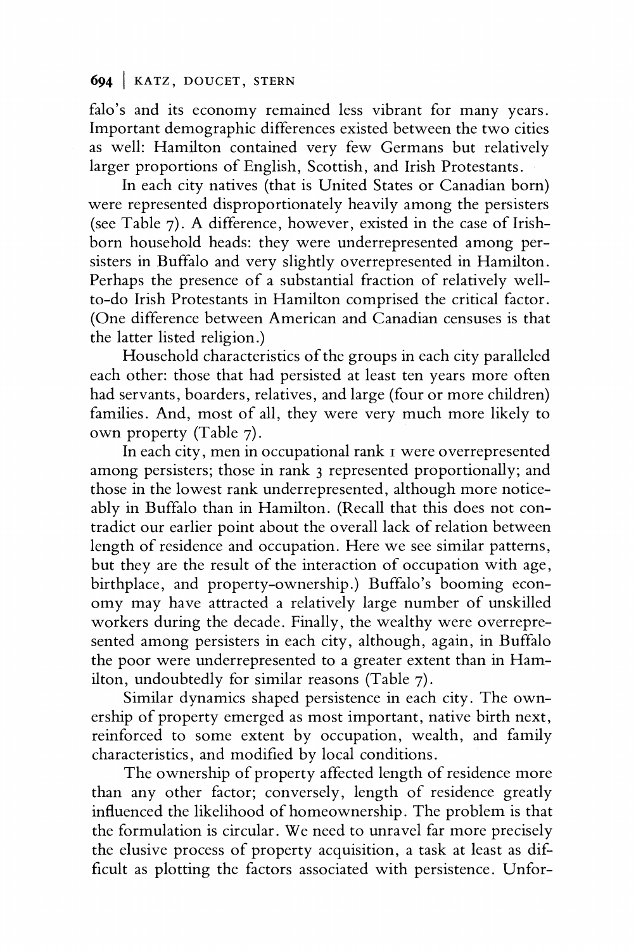### **694** 1 **KATZ,** DOUCET, STERN

falo's and its economy remained less vibrant for many years. Important demographic differences existed between the two cities as well: Hamilton contained very few Germans but relatively larger proportions of English, Scottish, and Irish Protestants.

In each city natives (that is United States or Canadian born) were represented disproportionately heavily among the persisters (see Table 7). A difference, however, existed in the case of Irishborn household heads: they were underrepresented among persisters in Buffalo and very slightly overrepresented in Hamilton. Perhaps the presence of a substantial fraction of relatively wellto-do Irish Protestants in Hamilton comprised the critical factor. (One difference between American and Canadian censuses is that the latter listed religion.)

Household characteristics of the groups in each city paralleled each other: those that had persisted at least ten years more often had servants, boarders, relatives, and large (four or more children) families. And, most of all, they were very much more likely to own property (Table 7).

In each city, men in occupational rank I were overrepresented among persisters; those in rank **3** represented proportionally; and those in the lowest rank underrepresented, although more noticeably in Buffalo than in Hamilton. (Recall that this does not contradict our earlier point about the overall lack of relation between length of residence and occupation. Here we see similar patterns, but they are the result of the interaction of occupation with age, birthplace, and property-ownership.) Buffalo's booming economy may have attracted a relatively large number of unskilled workers during the decade. Finally, the wealthy were overrepresented among persisters in each city, although, again, in Buffalo the poor were underrepresented to a greater extent than in Hamilton, undoubtedly for similar reasons (Table 7).

Similar dynamics shaped persistence in each city. The ownership of property emerged as most important, native birth next, reinforced to some extent by occupation, wealth, and family characteristics, and modified by local conditions.

The ownership of property affected length of residence more than any other factor; conversely, length of residence greatly influenced the likelihood of homeownership. The problem is that the formulation is circular. We need to unravel far more precisely the elusive process of property acquisition, a task at least as difficult as plotting the factors associated with persistence. Unfor-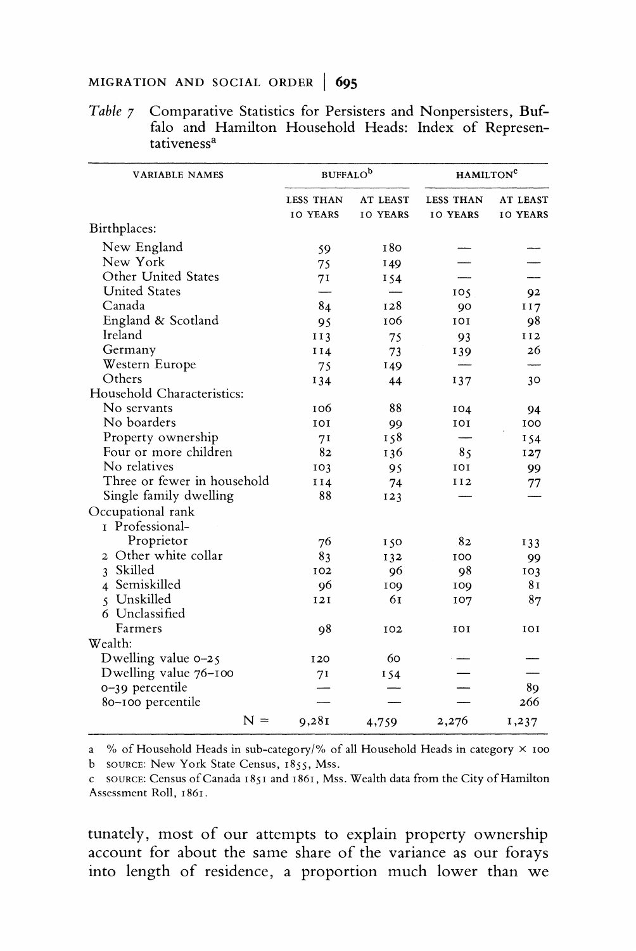#### MIGRATION AND SOCIAL ORDER 1 **695**

| <b>VARIABLE NAMES</b>       | <b>BUFFALO</b> <sup>b</sup> |                 | HAMILTON <sup>c</sup> |                 |
|-----------------------------|-----------------------------|-----------------|-----------------------|-----------------|
|                             | LESS THAN                   | AT LEAST        | <b>LESS THAN</b>      | AT LEAST        |
|                             | <b>IO YEARS</b>             | <b>IO YEARS</b> | <b>IO YEARS</b>       | <b>IO YEARS</b> |
| Birthplaces:                |                             |                 |                       |                 |
| New England                 | 59                          | 180             |                       |                 |
| New York                    | 75                          | 149             |                       |                 |
| Other United States         | 71                          | 154             |                       |                 |
| <b>United States</b>        |                             |                 | 105                   | 92              |
| Canada                      | 84                          | 128             | 90                    | 117             |
| England & Scotland          | 95                          | 106             | 101                   | 98              |
| Ireland                     | II3                         | 75              | 93                    | 112             |
| Germany                     | II4                         | 73              | 139                   | 26              |
| Western Europe              | 75                          | 149             |                       |                 |
| Others                      | 134                         | 44              | 137                   | 30              |
| Household Characteristics:  |                             |                 |                       |                 |
| No servants                 | 106                         | 88              | 104                   | 94              |
| No boarders                 | 101                         | 99              | 101                   | 100             |
| Property ownership          | 71                          | 158             |                       | 154             |
| Four or more children       | 82                          | 136             | 85                    | 127             |
| No relatives                | 103                         | 95              | 101                   | 99              |
| Three or fewer in household | I I 4                       | 74              | 112                   | 77              |
| Single family dwelling      | 88                          | 123             |                       |                 |
| Occupational rank           |                             |                 |                       |                 |
| 1 Professional-             |                             |                 |                       |                 |
| Proprietor                  | 76                          | 150             | 82                    | 133             |
| 2 Other white collar        | 83                          | 132             | 100                   | 99              |
| 3 Skilled                   | 102                         | 96              | 98                    | 103             |
| 4 Semiskilled               | 96                          | 109             | 109                   | 81              |
| 5 Unskilled                 | 121                         | 61              | 107                   | 87              |
| Unclassified<br>6           |                             |                 |                       |                 |
| Farmers                     | 98                          | 102             | 101                   | 101             |
| Wealth:                     |                             |                 |                       |                 |
| Dwelling value $0-25$       | 120                         | 60              |                       |                 |
| Dwelling value 76-100       | 71                          | 154             |                       |                 |
| o-39 percentile             |                             |                 |                       | 89              |
| 80-100 percentile           |                             |                 |                       | 266             |
| $N =$                       | 9,281                       | 4,759           | 2,276                 | 1,237           |

*Table 7*  Comparative Statistics for Persisters and Nonpersisters, Buffalo and Hamilton Household Heads: Index of Representativeness<sup>a</sup>

a % of Household Heads in sub-category/% of all Household Heads in category  $\times$  100

b SOURCE: New York State Census, 1855, Mss.

c SOURCE: Census of Canada I 851 and I 861, Mss. Wealth data from the City of Hamilton Assessment Roll, I 861.

tunately, most of our attempts to explain property ownership account for about the same share of the variance as our forays into length of residence, a proportion much lower than we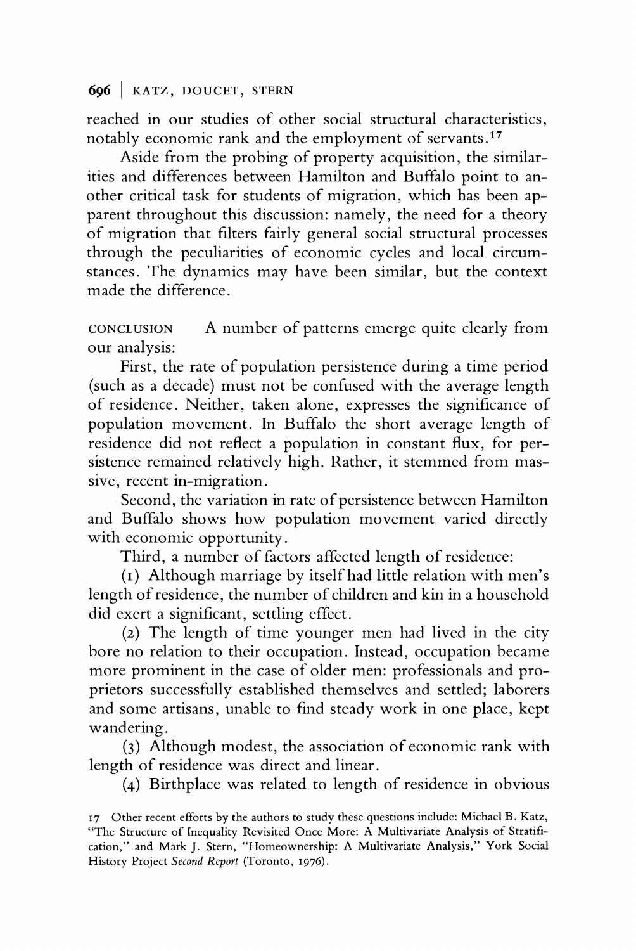### 696 | KATZ, DOUCET, STERN

reached in our studies of other social structural characteristics, notably economic rank and the employment of servants.17

Aside from the probing of property acquisition, the similarities and differences between Hamilton and Buffalo point to another critical task for students of migration, which has been apparent throughout this discussion: namely, the need for a theory of migration that filters fairly general social structural processes through the peculiarities of economic cycles and local circumstances. The dynamics may have been similar, but the context made the difference.

CONCLUSION A number of patterns emerge quite clearly from our analysis:

First, the rate of population persistence during a time period (such as a decade) must not be confused with the average length of residence. Neither, taken alone, expresses the significance of population movement. In Buffalo the short average length of residence did not reflect a population in constant flux, for persistence remained relatively high. Rather, it stemmed from massive, recent in-migration.

Second, the variation in rate of persistence between Hamilton and Buffalo shows how population movement varied directly with economic opportunity.

Third, a number of factors affected length of residence:

(I) Although marriage by itself had little relation with men's length of residence, the number of children and kin in a household did exert a significant, settling effect.

(2) The length of time younger men had lived in the city bore no relation to their occupation. Instead, occupation became more prominent in the case of older men: professionals and proprietors successfully established themselves and settled; laborers and some artisans, unable to find steady work in one place, kept wandering.

**(3)** Although modest, the association of economic rank with length of residence was direct and linear.

(4) Birthplace was related to length of residence in obvious

<sup>17</sup> Other recent efforts by the authors to study these questions include: Michael B. Katz, "The Structure of Inequality Revisited Once More: A Multivariate Analysis of Stratification," and Mark J. Stern, "Homeownership: A Multivariate Analysis," York Social History Project Second Report (Toronto, 1976).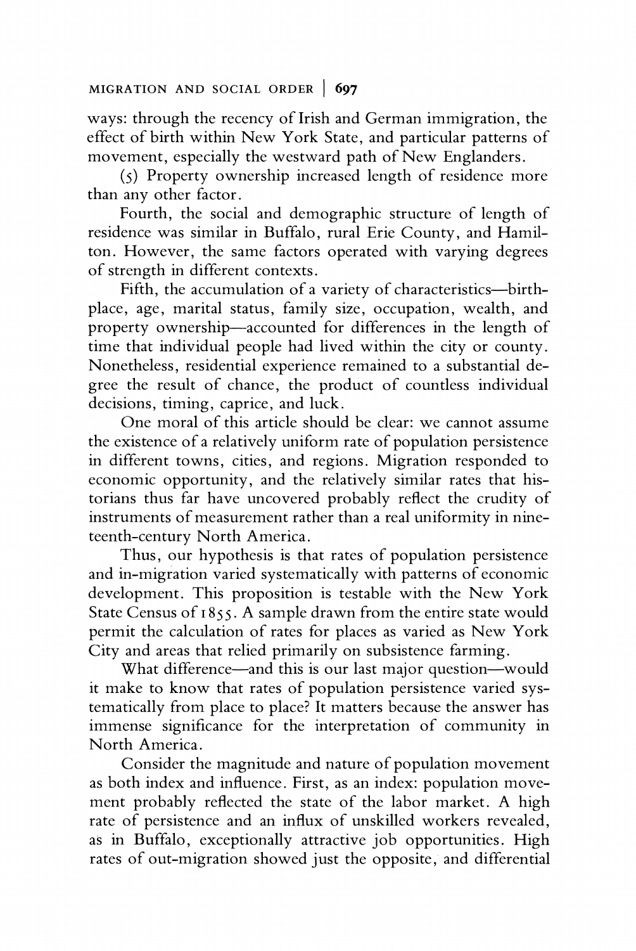ways: through the recency of Irish and German immigration, the effect of birth within New York State, and particular patterns of movement, especially the westward path of New Englanders.

*(5)* Property ownership increased length of residence more than any other factor.

Fourth, the social and demographic structure of length of residence was similar in Buffalo, rural Erie County, and Hamilton. However, the same factors operated with varying degrees of strength in different contexts.

Fifth, the accumulation of a variety of characteristics--birthplace, age, marital status, family size, occupation, wealth, and property ownership-accounted for differences in the length of time that individual people had lived within the city or county. Nonetheless, residential experience remained to a substantial degree the result of chance, the product of countless individual decisions, timing, caprice, and luck.

One moral of this article should be clear: we cannot assume the existence of a relatively uniform rate of population persistence in different towns, cities, and regions. Migration responded to economic opportunity, and the relatively similar rates that historians thus far have uncovered probably reflect the crudity of instruments of measurement rather than a real uniformity in nineteenth-century North America.

Thus, our hypothesis is that rates of population persistence and in-migration varied systematically with patterns of economic development. This proposition is testable with the New York State Census of 1855. A sample drawn from the entire state would permit the calculation of rates for places as varied as New York City and areas that relied primarily on subsistence farming.

What difference-and this is our last major question-would it make to know that rates of population persistence varied systematically from place to place? It matters because the answer has immense significance for the interpretation of community in North America.

Consider the magnitude and nature of population movement as both index and influence. First, as an index: population movement probably reflected the state of the labor market. A high rate of persistence and an influx of unskilled workers revealed, as in Buffalo, exceptionally attractive job opportunities. High rates of out-migration showed just the opposite, and differential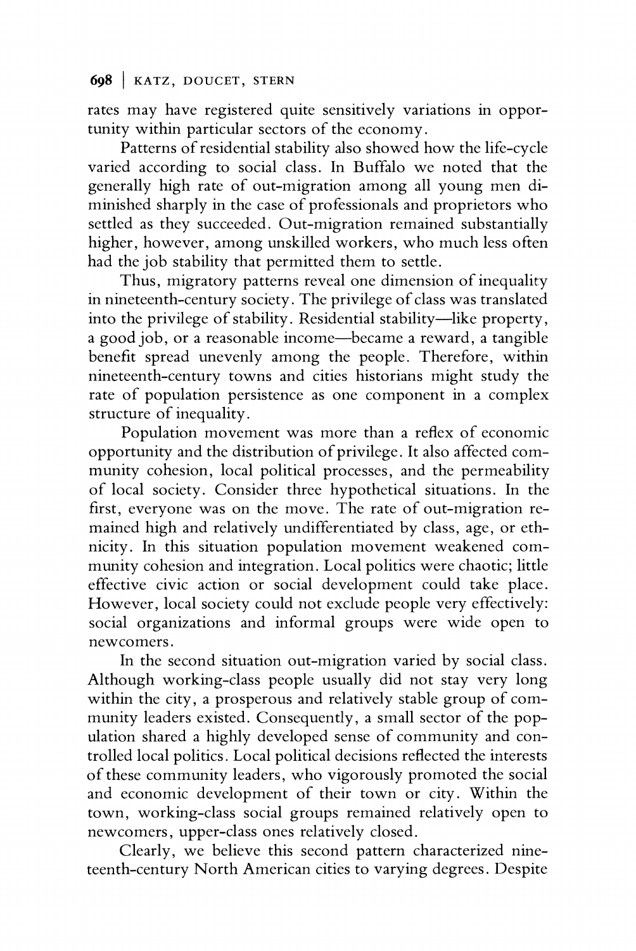rates may have registered quite sensitively variations in opportunity within particular sectors of the economy.

Patterns of residential stability also showed how the life-cycle varied according to social class. In Buffalo we noted that the generally high rate of out-migration among all young men diminished sharply in the case of professionals and proprietors who settled as they succeeded. Out-migration remained substantially higher, however, among unskilled workers, who much less often had the job stability that permitted them to settle.

Thus, migratory patterns reveal one dimension of inequality in nineteenth-century society. The privilege of class was translated into the privilege of stability. Residential stability-like property, a good job, or a reasonable income—became a reward, a tangible benefit spread unevenly among the people. Therefore, within nineteenth-century towns and cities historians might study the rate of population persistence as one component in a complex structure of inequality.

Population movement was more than a reflex of economic opportunity and the distribution of privilege. It also affected community cohesion, local political processes, and the permeability of local society. Consider threc hypothctical situations. In the first, everyone was on the move. The rate of out-migration remained high and relatively undifferentiated by class, age, or ethnicity. In this situation population movement weakened community cohesion and integration. Local politics were chaotic; littlc effective civic action or social development could take place. However, local society could not exclude people very effectively: social organizations and informal groups were wide open to newcomers.

In the second situation out-migration varied by social class. Although working-class people usually did not stay very long within the city, a prosperous and relatively stable group of community leaders existed. Consequently, a small sector of the population sharcd a highly developed sense of community and controlled local politics. Local political decisions reflected the interests of these community leaders, who vigorously promoted the social and economic development of their town or city. Within the town, working-class social groups remained relatively open to newcomcrs, upper-class ones relatively closed.

Clearly, we believe this second pattern characterized nineteenth-century North American cities to varying degrees. Despite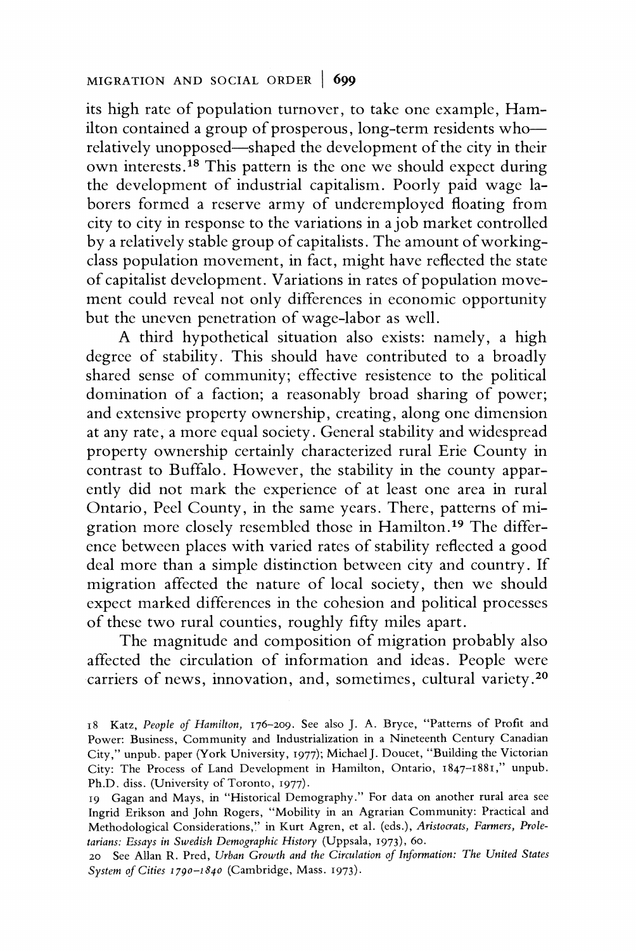its high rate of population turnover, to takc onc example, Hamilton contained a group of prosperous, long-term residents whorelatively unopposed—shaped the development of the city in their own interests.<sup>18</sup> This pattern is the one we should expect during thc development of industrial capitalism. Poorly paid wage laborers formed a reserve army of underemployed floating from city to city in response to the variations in a job markct controlled by a rclativcly stable group of capitalists. The amount of workingclass population movement, in fact, might have reflected the state of capitalist dcvelopmcnt. Variations in ratcs of population movement could reveal not only differences in economic opportunity but the uneven penetration of wage-labor as well.

A third hypothetical situation also exists: namely, a high degree of stability. This should have contributed to a broadly shared sense of community; effective resistence to the political domination of a faction; a reasonably broad sharing of power; and extensive property ownership, creating, along one dimension at any ratc, a more equal society. General stability and widespread property ownership ccrtainly characterized rural Erie County in contrast to Buffalo. However, the stability in the county apparently did not rnark the experience of at least one area in rural Ontario, Peel County, in the same years. There, patterns of migration more closely resembled those in Hamilton.<sup>19</sup> The difference between placcs with varied rates of stability reflected a good deal more than a simple distinction between city and country. If migration affected the nature of local socicty, then we should expect marked differences in thc cohesion and political processes of thcse two rural counties, roughly fifty miles apart.

The magnitude and composition of migration probably also affected the circulation of information and ideas. Pcople were carriers of ncws, innovation, and, sometimes, cultural variety.20

<sup>18</sup> Katz. People of Hamilton, 176-209. See also J. A. Bryce, "Patterns of Profit and Power: Business, Community and Industrialization in a Nineteenth Century Canadian City," unpub. paper (York University, 1977); Michael J. Doucet, "Building the Victorian City: The Process of Land Development in Hamilton, Ontario, 1847-1881," unpub. Ph.D. diss. (University of Toronto, 1977).

<sup>19</sup> Gagan and Mays, in "Historical Demography." For data on another rural area see Ingrid Erikson and John Rogers, "Mobility in an Agrarian Community: Practical and Methodological Considerations," in Kurt Agren, et al. (eds.), Aristocrats, Farmers, Proletarians: Essays in Swedish Demographic History (Uppsala, 1973), 60.

<sup>20</sup> See Allan R. Pred, *Urban Growth and the Circulation of Information: The United States System* of *Cities 1790-1840* (Cambridge, Mass. 1973).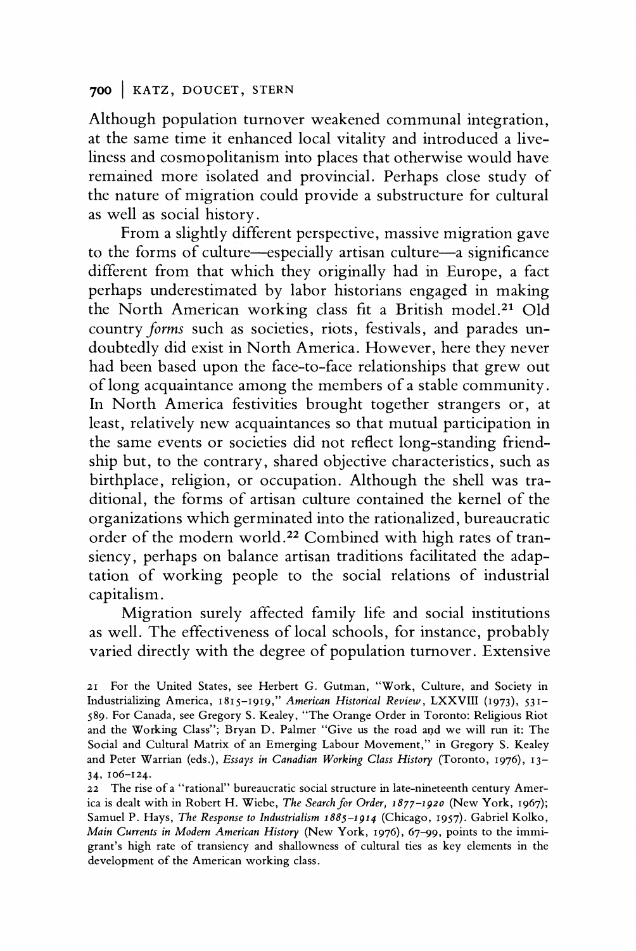Although population turnover weakened communal integration, at the same timc it cnhanccd local vitality and introduced a liveliness and cosmopolitanism into places that otherwise would have remained more isolated and provincial. Perhaps close study of the nature of migration could provide a substructure for cultural as well as social history.

From a slightly different perspective, massive migration gave to the forms of culture-especially artisan culture-a significance different from that which they originally had in Europe, a fact perhaps underestimated by labor historians engaged in making the North American working class fit a British model.<sup>21</sup> Old country *forms* such as societies, riots, festivals, and parades undoubtedly did exist in North America. However, here they never had been based upon the face-to-face relationships that grew out of long acquaintance among the members of a stable community. In North America festivities brought together strangers or, at least, relatively new acquaintances so that mutual participation in the same events or societies did not reflect long-standing friendship but, to the contrary, shared objective characteristics, such as birthplace, religion, or occupation. Although the shell was traditional, the forms of artisan culture contained the kernel of the organizations which germinated into the rationalized, bureaucratic order of the modern world.<sup>22</sup> Combined with high rates of transiency, perhaps on balance artisan traditions facilitated the adaptation of working people to the social relations of industrial capitalism.

Migration surely affected family life and social institutions as well. The effectiveness of local schools, for instance, probably varied directly with the degree of population turnover. Extensive

*22 The rise of a "rational" bureaucratic social structure* in *late-nineteenth century America is dealt with in Robert H. Wiebe, The Search for Order, 1877-1920 (New York, 1967); Samuel P. Hays, The Response to Industrialism I 885-1914 (Chicago, 1957). Gabriel Kolko, Main Currents in Modern American History (New York, 1976), 67-99, points to the immigrant's high rate of transiency and shallowness of cultural ties as key elements in the development of the American working class* 

*<sup>21</sup> For the United States, see Herbert G. Gutman, "Work, Culture, and Society in Industrializing America, 1815-1919*," *American Historical Review*, LXXVIII (1973), 531-*589. For Canada, see Gregory S. Kealey. "The Orange Order in Toronto: Religious Riot*  and the Working Class"; Bryan D. Palmer "Give us the road and we will run it: The *Social and Cultural Matrix of an Emerging Labour Movement," in Gregory* S. *Kealey and Peter Warrian (eds.), Essays in Canadian Working Class History (Toronto, 1976), 13- 34, 106-124.*